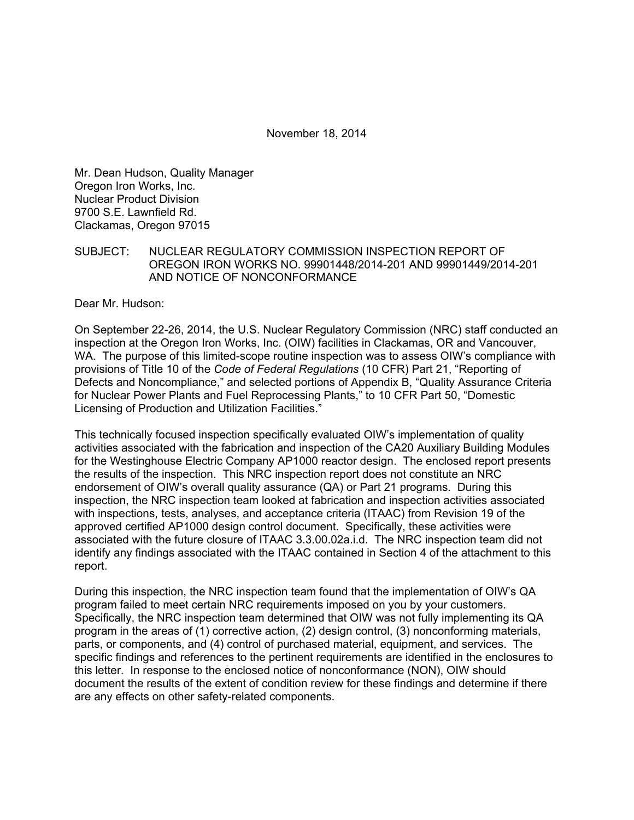November 18, 2014

Mr. Dean Hudson, Quality Manager Oregon Iron Works, Inc. Nuclear Product Division 9700 S.E. Lawnfield Rd. Clackamas, Oregon 97015

#### SUBJECT: NUCLEAR REGULATORY COMMISSION INSPECTION REPORT OF OREGON IRON WORKS NO. 99901448/2014-201 AND 99901449/2014-201 AND NOTICE OF NONCONFORMANCE

Dear Mr. Hudson:

On September 22-26, 2014, the U.S. Nuclear Regulatory Commission (NRC) staff conducted an inspection at the Oregon Iron Works, Inc. (OIW) facilities in Clackamas, OR and Vancouver, WA. The purpose of this limited-scope routine inspection was to assess OIW's compliance with provisions of Title 10 of the *Code of Federal Regulations* (10 CFR) Part 21, "Reporting of Defects and Noncompliance," and selected portions of Appendix B, "Quality Assurance Criteria for Nuclear Power Plants and Fuel Reprocessing Plants," to 10 CFR Part 50, "Domestic Licensing of Production and Utilization Facilities."

This technically focused inspection specifically evaluated OIW's implementation of quality activities associated with the fabrication and inspection of the CA20 Auxiliary Building Modules for the Westinghouse Electric Company AP1000 reactor design. The enclosed report presents the results of the inspection. This NRC inspection report does not constitute an NRC endorsement of OIW's overall quality assurance (QA) or Part 21 programs. During this inspection, the NRC inspection team looked at fabrication and inspection activities associated with inspections, tests, analyses, and acceptance criteria (ITAAC) from Revision 19 of the approved certified AP1000 design control document. Specifically, these activities were associated with the future closure of ITAAC 3.3.00.02a.i.d. The NRC inspection team did not identify any findings associated with the ITAAC contained in Section 4 of the attachment to this report.

During this inspection, the NRC inspection team found that the implementation of OIW's QA program failed to meet certain NRC requirements imposed on you by your customers. Specifically, the NRC inspection team determined that OIW was not fully implementing its QA program in the areas of (1) corrective action, (2) design control, (3) nonconforming materials, parts, or components, and (4) control of purchased material, equipment, and services. The specific findings and references to the pertinent requirements are identified in the enclosures to this letter. In response to the enclosed notice of nonconformance (NON), OIW should document the results of the extent of condition review for these findings and determine if there are any effects on other safety-related components.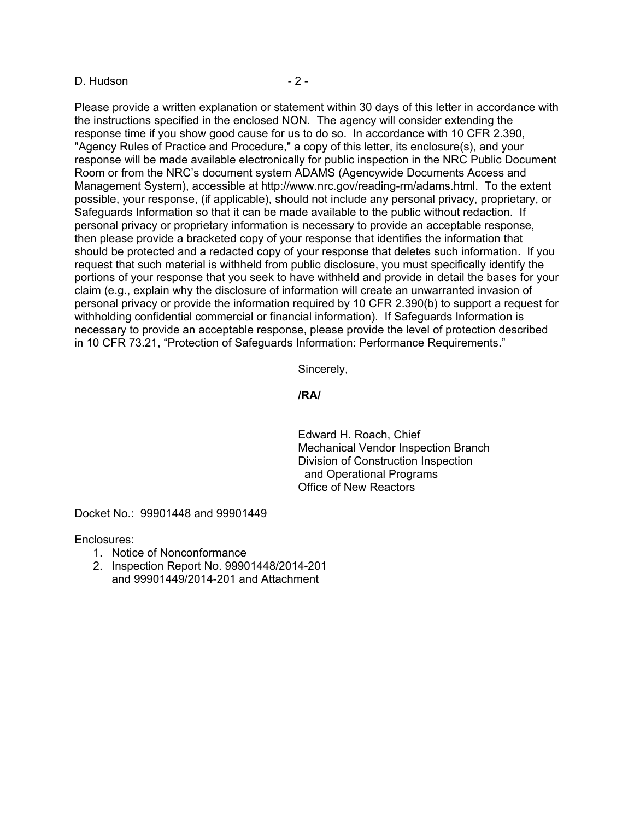#### D. Hudson - 2 -

Please provide a written explanation or statement within 30 days of this letter in accordance with the instructions specified in the enclosed NON. The agency will consider extending the response time if you show good cause for us to do so. In accordance with 10 CFR 2.390, "Agency Rules of Practice and Procedure," a copy of this letter, its enclosure(s), and your response will be made available electronically for public inspection in the NRC Public Document Room or from the NRC's document system ADAMS (Agencywide Documents Access and Management System), accessible at http://www.nrc.gov/reading-rm/adams.html. To the extent possible, your response, (if applicable), should not include any personal privacy, proprietary, or Safeguards Information so that it can be made available to the public without redaction. If personal privacy or proprietary information is necessary to provide an acceptable response, then please provide a bracketed copy of your response that identifies the information that should be protected and a redacted copy of your response that deletes such information. If you request that such material is withheld from public disclosure, you must specifically identify the portions of your response that you seek to have withheld and provide in detail the bases for your claim (e.g., explain why the disclosure of information will create an unwarranted invasion of personal privacy or provide the information required by 10 CFR 2.390(b) to support a request for withholding confidential commercial or financial information). If Safeguards Information is necessary to provide an acceptable response, please provide the level of protection described in 10 CFR 73.21, "Protection of Safeguards Information: Performance Requirements."

Sincerely,

#### **/RA/**

Edward H. Roach, Chief Mechanical Vendor Inspection Branch Division of Construction Inspection and Operational Programs Office of New Reactors

Docket No.: 99901448 and 99901449

Enclosures:

- 1. Notice of Nonconformance
- 2. Inspection Report No. 99901448/2014-201 and 99901449/2014-201 and Attachment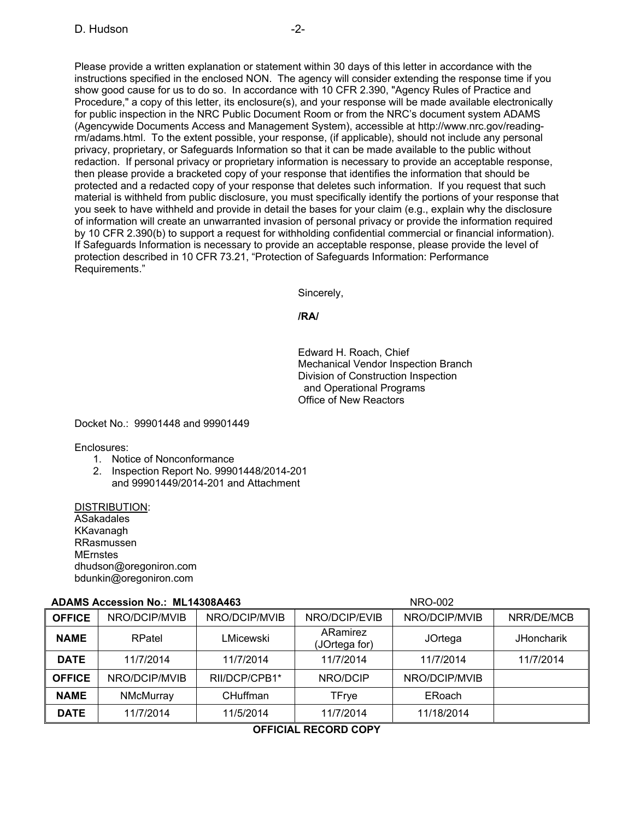Please provide a written explanation or statement within 30 days of this letter in accordance with the instructions specified in the enclosed NON. The agency will consider extending the response time if you show good cause for us to do so. In accordance with 10 CFR 2.390, "Agency Rules of Practice and Procedure," a copy of this letter, its enclosure(s), and your response will be made available electronically for public inspection in the NRC Public Document Room or from the NRC's document system ADAMS (Agencywide Documents Access and Management System), accessible at http://www.nrc.gov/readingrm/adams.html. To the extent possible, your response, (if applicable), should not include any personal privacy, proprietary, or Safeguards Information so that it can be made available to the public without redaction. If personal privacy or proprietary information is necessary to provide an acceptable response, then please provide a bracketed copy of your response that identifies the information that should be protected and a redacted copy of your response that deletes such information. If you request that such material is withheld from public disclosure, you must specifically identify the portions of your response that you seek to have withheld and provide in detail the bases for your claim (e.g., explain why the disclosure of information will create an unwarranted invasion of personal privacy or provide the information required by 10 CFR 2.390(b) to support a request for withholding confidential commercial or financial information). If Safeguards Information is necessary to provide an acceptable response, please provide the level of protection described in 10 CFR 73.21, "Protection of Safeguards Information: Performance Requirements."

Sincerely,

**/RA/** 

Edward H. Roach, Chief Mechanical Vendor Inspection Branch Division of Construction Inspection and Operational Programs Office of New Reactors

Docket No.: 99901448 and 99901449

Enclosures:

- 1. Notice of Nonconformance
- 2. Inspection Report No. 99901448/2014-201
	- and 99901449/2014-201 and Attachment

DISTRIBUTION: ASakadales KKavanagh RRasmussen **MErnstes** dhudson@oregoniron.com bdunkin@oregoniron.com

## **ADAMS Accession No.: ML14308A463** NRO-002

| ADAMS ACCESSION NO MLT4300A463 |               |               |                           | <b>INRU-UUZ</b> |                   |
|--------------------------------|---------------|---------------|---------------------------|-----------------|-------------------|
| <b>OFFICE</b>                  | NRO/DCIP/MVIB | NRO/DCIP/MVIB | NRO/DCIP/EVIB             | NRO/DCIP/MVIB   | NRR/DE/MCB        |
| <b>NAME</b>                    | RPatel        | LMicewski     | ARamirez<br>(JOrtega for) | JOrtega         | <b>JHoncharik</b> |
| <b>DATE</b>                    | 11/7/2014     | 11/7/2014     | 11/7/2014                 | 11/7/2014       | 11/7/2014         |
| <b>OFFICE</b>                  | NRO/DCIP/MVIB | RII/DCP/CPB1* | NRO/DCIP                  | NRO/DCIP/MVIB   |                   |
| <b>NAME</b>                    | NMcMurray     | CHuffman      | <b>TFrye</b>              | ERoach          |                   |
| <b>DATE</b>                    | 11/7/2014     | 11/5/2014     | 11/7/2014                 | 11/18/2014      |                   |

#### **OFFICIAL RECORD COPY**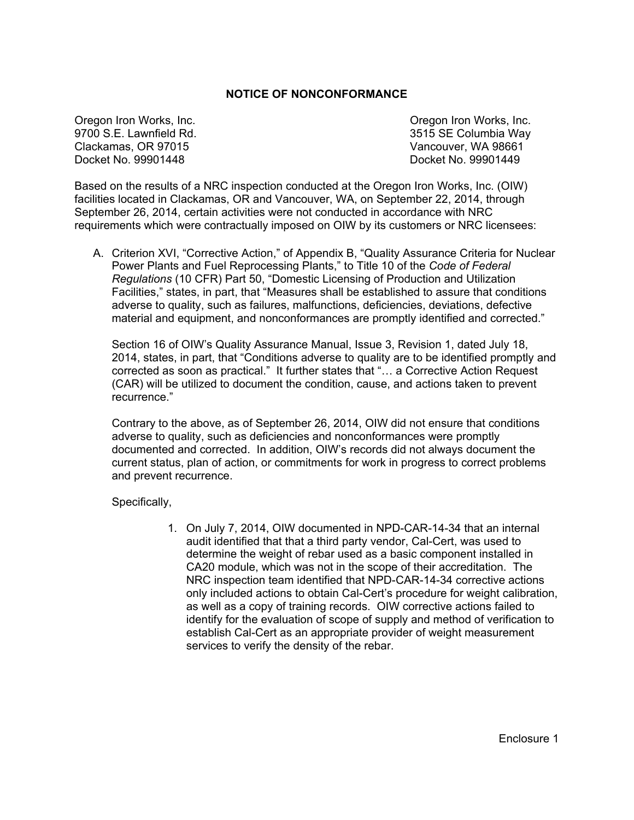#### **NOTICE OF NONCONFORMANCE**

Oregon Iron Works, Inc. Oregon Iron Works, Inc. 9700 S.E. Lawnfield Rd. 3515 SE Columbia Way Clackamas, OR 97015 Vancouver, WA 98661 Docket No. 99901448 Docket No. 99901449

Based on the results of a NRC inspection conducted at the Oregon Iron Works, Inc. (OIW) facilities located in Clackamas, OR and Vancouver, WA, on September 22, 2014, through September 26, 2014, certain activities were not conducted in accordance with NRC requirements which were contractually imposed on OIW by its customers or NRC licensees:

A. Criterion XVI, "Corrective Action," of Appendix B, "Quality Assurance Criteria for Nuclear Power Plants and Fuel Reprocessing Plants," to Title 10 of the *Code of Federal Regulations* (10 CFR) Part 50, "Domestic Licensing of Production and Utilization Facilities," states, in part, that "Measures shall be established to assure that conditions adverse to quality, such as failures, malfunctions, deficiencies, deviations, defective material and equipment, and nonconformances are promptly identified and corrected."

Section 16 of OIW's Quality Assurance Manual, Issue 3, Revision 1, dated July 18, 2014, states, in part, that "Conditions adverse to quality are to be identified promptly and corrected as soon as practical." It further states that "… a Corrective Action Request (CAR) will be utilized to document the condition, cause, and actions taken to prevent recurrence."

Contrary to the above, as of September 26, 2014, OIW did not ensure that conditions adverse to quality, such as deficiencies and nonconformances were promptly documented and corrected. In addition, OIW's records did not always document the current status, plan of action, or commitments for work in progress to correct problems and prevent recurrence.

Specifically,

1. On July 7, 2014, OIW documented in NPD-CAR-14-34 that an internal audit identified that that a third party vendor, Cal-Cert, was used to determine the weight of rebar used as a basic component installed in CA20 module, which was not in the scope of their accreditation. The NRC inspection team identified that NPD-CAR-14-34 corrective actions only included actions to obtain Cal-Cert's procedure for weight calibration, as well as a copy of training records. OIW corrective actions failed to identify for the evaluation of scope of supply and method of verification to establish Cal-Cert as an appropriate provider of weight measurement services to verify the density of the rebar.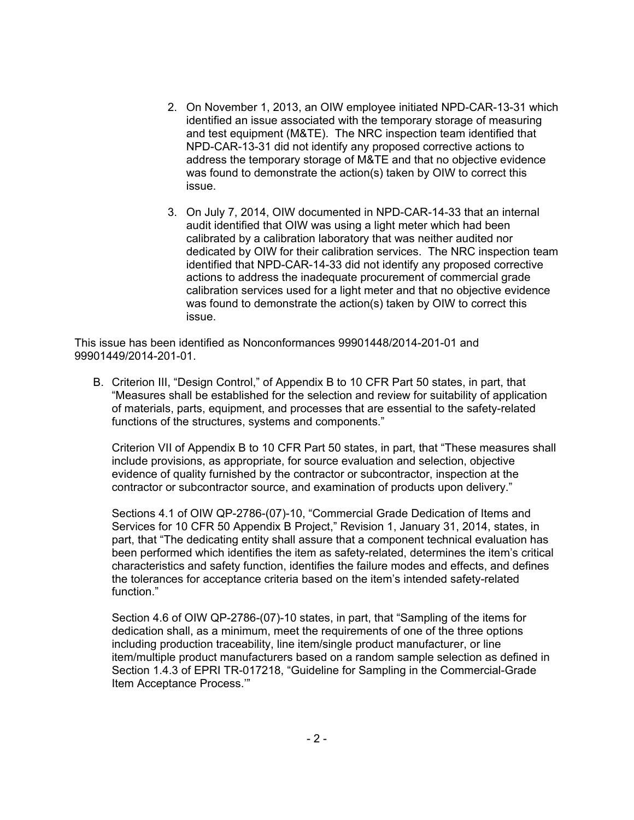- 2. On November 1, 2013, an OIW employee initiated NPD-CAR-13-31 which identified an issue associated with the temporary storage of measuring and test equipment (M&TE). The NRC inspection team identified that NPD-CAR-13-31 did not identify any proposed corrective actions to address the temporary storage of M&TE and that no objective evidence was found to demonstrate the action(s) taken by OIW to correct this issue.
- 3. On July 7, 2014, OIW documented in NPD-CAR-14-33 that an internal audit identified that OIW was using a light meter which had been calibrated by a calibration laboratory that was neither audited nor dedicated by OIW for their calibration services. The NRC inspection team identified that NPD-CAR-14-33 did not identify any proposed corrective actions to address the inadequate procurement of commercial grade calibration services used for a light meter and that no objective evidence was found to demonstrate the action(s) taken by OIW to correct this issue.

This issue has been identified as Nonconformances 99901448/2014-201-01 and 99901449/2014-201-01.

B. Criterion III, "Design Control," of Appendix B to 10 CFR Part 50 states, in part, that "Measures shall be established for the selection and review for suitability of application of materials, parts, equipment, and processes that are essential to the safety-related functions of the structures, systems and components."

Criterion VII of Appendix B to 10 CFR Part 50 states, in part, that "These measures shall include provisions, as appropriate, for source evaluation and selection, objective evidence of quality furnished by the contractor or subcontractor, inspection at the contractor or subcontractor source, and examination of products upon delivery."

Sections 4.1 of OIW QP-2786-(07)-10, "Commercial Grade Dedication of Items and Services for 10 CFR 50 Appendix B Project," Revision 1, January 31, 2014, states, in part, that "The dedicating entity shall assure that a component technical evaluation has been performed which identifies the item as safety-related, determines the item's critical characteristics and safety function, identifies the failure modes and effects, and defines the tolerances for acceptance criteria based on the item's intended safety-related function."

Section 4.6 of OIW QP-2786-(07)-10 states, in part, that "Sampling of the items for dedication shall, as a minimum, meet the requirements of one of the three options including production traceability, line item/single product manufacturer, or line item/multiple product manufacturers based on a random sample selection as defined in Section 1.4.3 of EPRI TR-017218, "Guideline for Sampling in the Commercial-Grade Item Acceptance Process.'"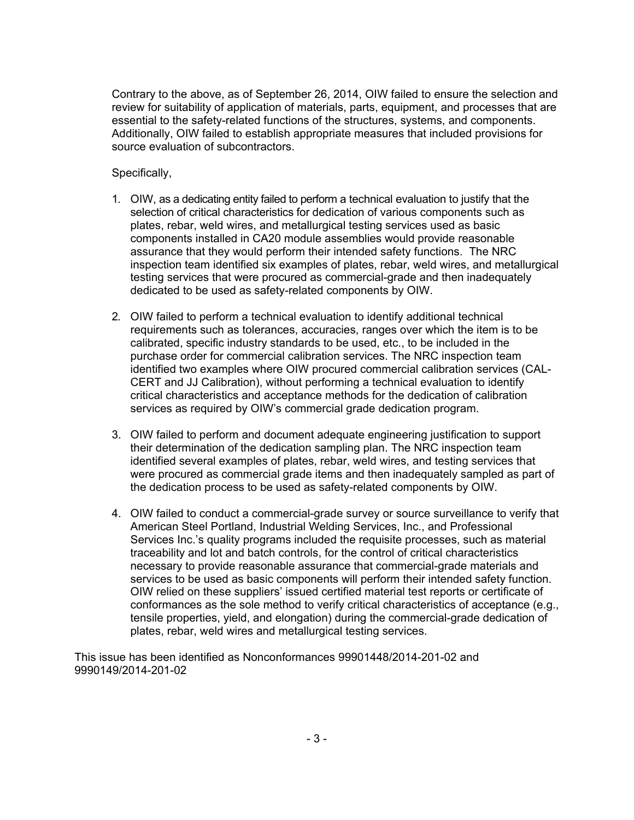Contrary to the above, as of September 26, 2014, OIW failed to ensure the selection and review for suitability of application of materials, parts, equipment, and processes that are essential to the safety-related functions of the structures, systems, and components. Additionally, OIW failed to establish appropriate measures that included provisions for source evaluation of subcontractors.

Specifically,

- 1. OIW, as a dedicating entity failed to perform a technical evaluation to justify that the selection of critical characteristics for dedication of various components such as plates, rebar, weld wires, and metallurgical testing services used as basic components installed in CA20 module assemblies would provide reasonable assurance that they would perform their intended safety functions. The NRC inspection team identified six examples of plates, rebar, weld wires, and metallurgical testing services that were procured as commercial-grade and then inadequately dedicated to be used as safety-related components by OIW.
- 2. OIW failed to perform a technical evaluation to identify additional technical requirements such as tolerances, accuracies, ranges over which the item is to be calibrated, specific industry standards to be used, etc., to be included in the purchase order for commercial calibration services. The NRC inspection team identified two examples where OIW procured commercial calibration services (CAL-CERT and JJ Calibration), without performing a technical evaluation to identify critical characteristics and acceptance methods for the dedication of calibration services as required by OIW's commercial grade dedication program.
- 3. OIW failed to perform and document adequate engineering justification to support their determination of the dedication sampling plan. The NRC inspection team identified several examples of plates, rebar, weld wires, and testing services that were procured as commercial grade items and then inadequately sampled as part of the dedication process to be used as safety-related components by OIW.
- 4. OIW failed to conduct a commercial-grade survey or source surveillance to verify that American Steel Portland, Industrial Welding Services, Inc., and Professional Services Inc.'s quality programs included the requisite processes, such as material traceability and lot and batch controls, for the control of critical characteristics necessary to provide reasonable assurance that commercial-grade materials and services to be used as basic components will perform their intended safety function. OIW relied on these suppliers' issued certified material test reports or certificate of conformances as the sole method to verify critical characteristics of acceptance (e.g., tensile properties, yield, and elongation) during the commercial-grade dedication of plates, rebar, weld wires and metallurgical testing services.

This issue has been identified as Nonconformances 99901448/2014-201-02 and 9990149/2014-201-02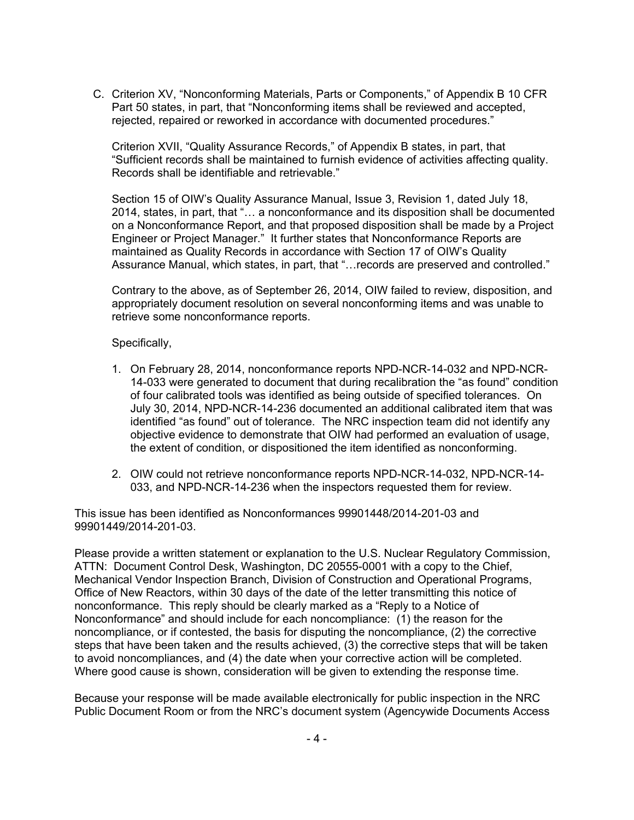C. Criterion XV, "Nonconforming Materials, Parts or Components," of Appendix B 10 CFR Part 50 states, in part, that "Nonconforming items shall be reviewed and accepted, rejected, repaired or reworked in accordance with documented procedures."

Criterion XVII, "Quality Assurance Records," of Appendix B states, in part, that "Sufficient records shall be maintained to furnish evidence of activities affecting quality. Records shall be identifiable and retrievable."

Section 15 of OIW's Quality Assurance Manual, Issue 3, Revision 1, dated July 18, 2014, states, in part, that "… a nonconformance and its disposition shall be documented on a Nonconformance Report, and that proposed disposition shall be made by a Project Engineer or Project Manager." It further states that Nonconformance Reports are maintained as Quality Records in accordance with Section 17 of OIW's Quality Assurance Manual, which states, in part, that "…records are preserved and controlled."

Contrary to the above, as of September 26, 2014, OIW failed to review, disposition, and appropriately document resolution on several nonconforming items and was unable to retrieve some nonconformance reports.

#### Specifically,

- 1. On February 28, 2014, nonconformance reports NPD-NCR-14-032 and NPD-NCR-14-033 were generated to document that during recalibration the "as found" condition of four calibrated tools was identified as being outside of specified tolerances. On July 30, 2014, NPD-NCR-14-236 documented an additional calibrated item that was identified "as found" out of tolerance. The NRC inspection team did not identify any objective evidence to demonstrate that OIW had performed an evaluation of usage, the extent of condition, or dispositioned the item identified as nonconforming.
- 2. OIW could not retrieve nonconformance reports NPD-NCR-14-032, NPD-NCR-14- 033, and NPD-NCR-14-236 when the inspectors requested them for review.

This issue has been identified as Nonconformances 99901448/2014-201-03 and 99901449/2014-201-03.

Please provide a written statement or explanation to the U.S. Nuclear Regulatory Commission, ATTN: Document Control Desk, Washington, DC 20555-0001 with a copy to the Chief, Mechanical Vendor Inspection Branch, Division of Construction and Operational Programs, Office of New Reactors, within 30 days of the date of the letter transmitting this notice of nonconformance. This reply should be clearly marked as a "Reply to a Notice of Nonconformance" and should include for each noncompliance: (1) the reason for the noncompliance, or if contested, the basis for disputing the noncompliance, (2) the corrective steps that have been taken and the results achieved, (3) the corrective steps that will be taken to avoid noncompliances, and (4) the date when your corrective action will be completed. Where good cause is shown, consideration will be given to extending the response time.

Because your response will be made available electronically for public inspection in the NRC Public Document Room or from the NRC's document system (Agencywide Documents Access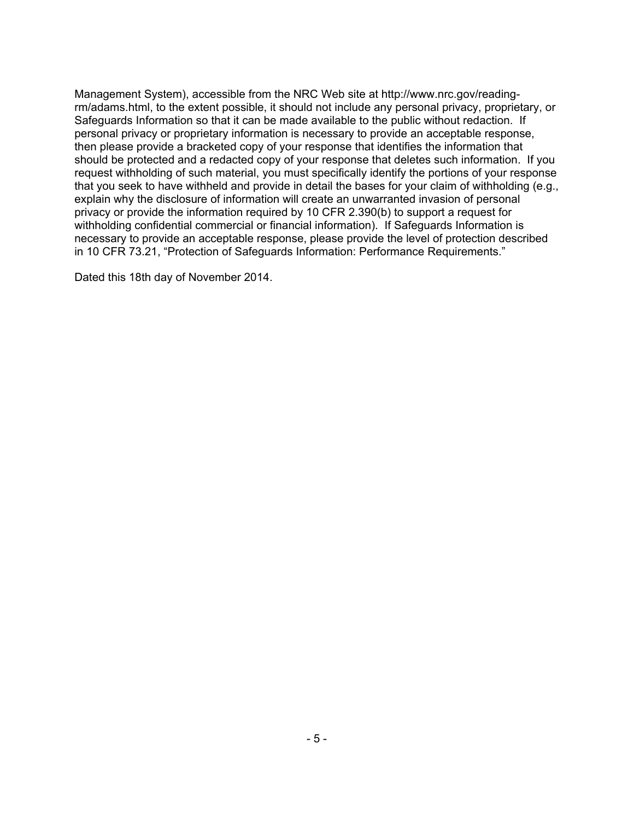Management System), accessible from the NRC Web site at http://www.nrc.gov/readingrm/adams.html, to the extent possible, it should not include any personal privacy, proprietary, or Safeguards Information so that it can be made available to the public without redaction. If personal privacy or proprietary information is necessary to provide an acceptable response, then please provide a bracketed copy of your response that identifies the information that should be protected and a redacted copy of your response that deletes such information. If you request withholding of such material, you must specifically identify the portions of your response that you seek to have withheld and provide in detail the bases for your claim of withholding (e.g., explain why the disclosure of information will create an unwarranted invasion of personal privacy or provide the information required by 10 CFR 2.390(b) to support a request for withholding confidential commercial or financial information). If Safeguards Information is necessary to provide an acceptable response, please provide the level of protection described in 10 CFR 73.21, "Protection of Safeguards Information: Performance Requirements."

Dated this 18th day of November 2014.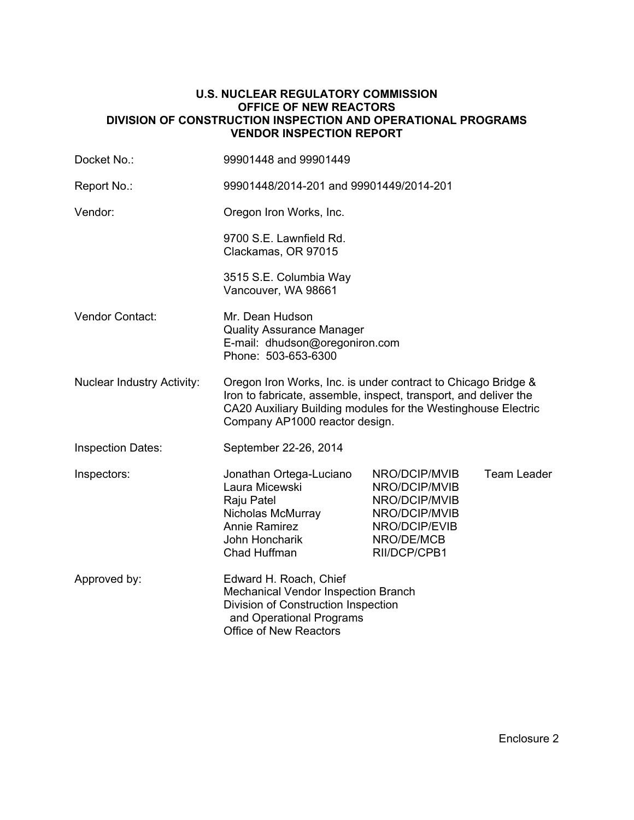#### **U.S. NUCLEAR REGULATORY COMMISSION OFFICE OF NEW REACTORS DIVISION OF CONSTRUCTION INSPECTION AND OPERATIONAL PROGRAMS VENDOR INSPECTION REPORT**

| Docket No.:                       | 99901448 and 99901449                                                                                                                                                                                                                |                                                                                                                 |                    |  |  |
|-----------------------------------|--------------------------------------------------------------------------------------------------------------------------------------------------------------------------------------------------------------------------------------|-----------------------------------------------------------------------------------------------------------------|--------------------|--|--|
| Report No.:                       | 99901448/2014-201 and 99901449/2014-201                                                                                                                                                                                              |                                                                                                                 |                    |  |  |
| Vendor:                           | Oregon Iron Works, Inc.                                                                                                                                                                                                              |                                                                                                                 |                    |  |  |
|                                   | 9700 S.E. Lawnfield Rd.<br>Clackamas, OR 97015                                                                                                                                                                                       |                                                                                                                 |                    |  |  |
|                                   | 3515 S.E. Columbia Way<br>Vancouver, WA 98661                                                                                                                                                                                        |                                                                                                                 |                    |  |  |
| Vendor Contact:                   | Mr. Dean Hudson<br><b>Quality Assurance Manager</b><br>E-mail: dhudson@oregoniron.com<br>Phone: 503-653-6300                                                                                                                         |                                                                                                                 |                    |  |  |
| <b>Nuclear Industry Activity:</b> | Oregon Iron Works, Inc. is under contract to Chicago Bridge &<br>Iron to fabricate, assemble, inspect, transport, and deliver the<br>CA20 Auxiliary Building modules for the Westinghouse Electric<br>Company AP1000 reactor design. |                                                                                                                 |                    |  |  |
| <b>Inspection Dates:</b>          | September 22-26, 2014                                                                                                                                                                                                                |                                                                                                                 |                    |  |  |
| Inspectors:                       | Jonathan Ortega-Luciano<br>Laura Micewski<br>Raju Patel<br>Nicholas McMurray<br><b>Annie Ramirez</b><br>John Honcharik<br>Chad Huffman                                                                                               | NRO/DCIP/MVIB<br>NRO/DCIP/MVIB<br>NRO/DCIP/MVIB<br>NRO/DCIP/MVIB<br>NRO/DCIP/EVIB<br>NRO/DE/MCB<br>RII/DCP/CPB1 | <b>Team Leader</b> |  |  |
| Approved by:                      | Edward H. Roach, Chief<br>Mechanical Vendor Inspection Branch<br>Division of Construction Inspection<br>and Operational Programs<br><b>Office of New Reactors</b>                                                                    |                                                                                                                 |                    |  |  |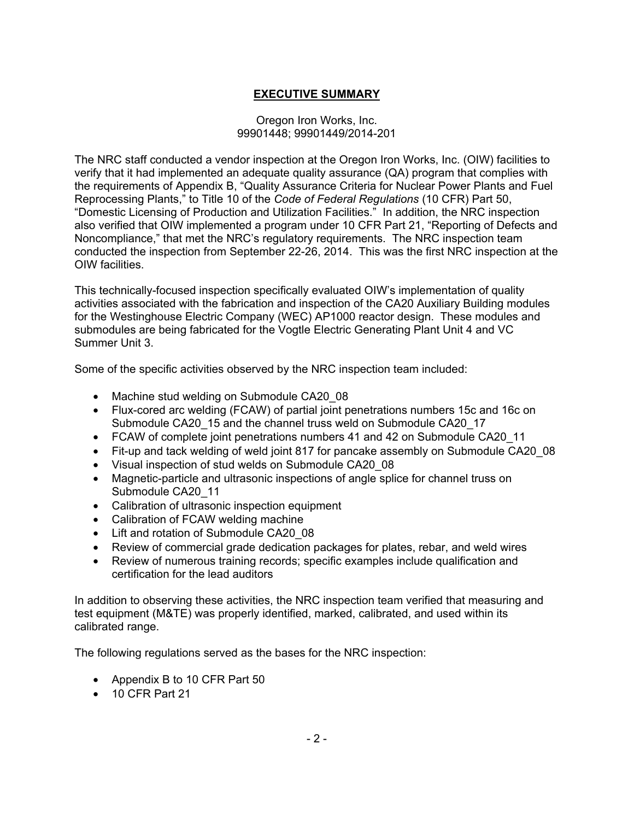## **EXECUTIVE SUMMARY**

#### Oregon Iron Works, Inc. 99901448; 99901449/2014-201

The NRC staff conducted a vendor inspection at the Oregon Iron Works, Inc. (OIW) facilities to verify that it had implemented an adequate quality assurance (QA) program that complies with the requirements of Appendix B, "Quality Assurance Criteria for Nuclear Power Plants and Fuel Reprocessing Plants," to Title 10 of the *Code of Federal Regulations* (10 CFR) Part 50, "Domestic Licensing of Production and Utilization Facilities." In addition, the NRC inspection also verified that OIW implemented a program under 10 CFR Part 21, "Reporting of Defects and Noncompliance," that met the NRC's regulatory requirements. The NRC inspection team conducted the inspection from September 22-26, 2014. This was the first NRC inspection at the OIW facilities.

This technically-focused inspection specifically evaluated OIW's implementation of quality activities associated with the fabrication and inspection of the CA20 Auxiliary Building modules for the Westinghouse Electric Company (WEC) AP1000 reactor design. These modules and submodules are being fabricated for the Vogtle Electric Generating Plant Unit 4 and VC Summer Unit 3.

Some of the specific activities observed by the NRC inspection team included:

- Machine stud welding on Submodule CA20 08
- Flux-cored arc welding (FCAW) of partial joint penetrations numbers 15c and 16c on Submodule CA20\_15 and the channel truss weld on Submodule CA20\_17
- FCAW of complete joint penetrations numbers 41 and 42 on Submodule CA20\_11
- Fit-up and tack welding of weld joint 817 for pancake assembly on Submodule CA20 08
- Visual inspection of stud welds on Submodule CA20\_08
- Magnetic-particle and ultrasonic inspections of angle splice for channel truss on Submodule CA20\_11
- Calibration of ultrasonic inspection equipment
- Calibration of FCAW welding machine
- Lift and rotation of Submodule CA20 08
- Review of commercial grade dedication packages for plates, rebar, and weld wires
- Review of numerous training records; specific examples include qualification and certification for the lead auditors

In addition to observing these activities, the NRC inspection team verified that measuring and test equipment (M&TE) was properly identified, marked, calibrated, and used within its calibrated range.

The following regulations served as the bases for the NRC inspection:

- Appendix B to 10 CFR Part 50
- 10 CFR Part 21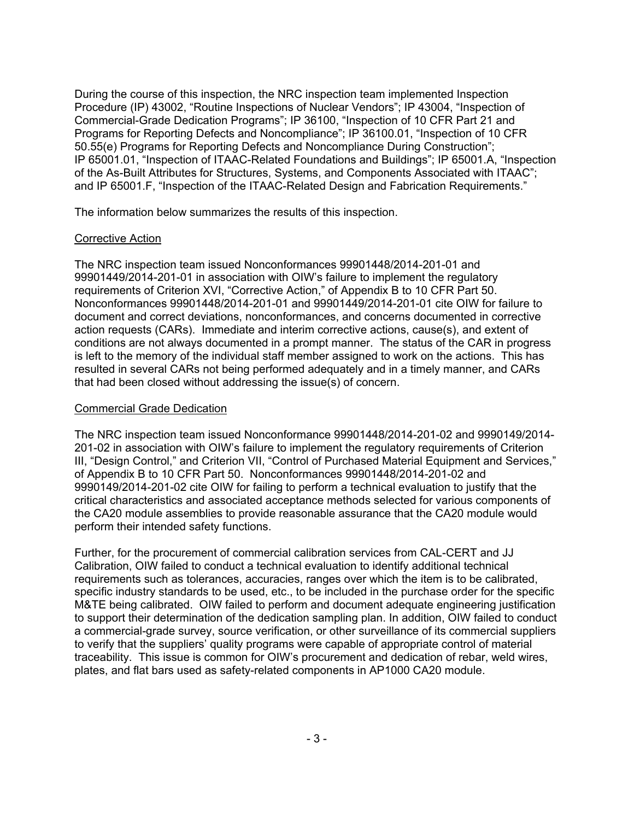During the course of this inspection, the NRC inspection team implemented Inspection Procedure (IP) 43002, "Routine Inspections of Nuclear Vendors"; IP 43004, "Inspection of Commercial-Grade Dedication Programs"; IP 36100, "Inspection of 10 CFR Part 21 and Programs for Reporting Defects and Noncompliance"; IP 36100.01, "Inspection of 10 CFR 50.55(e) Programs for Reporting Defects and Noncompliance During Construction"; IP 65001.01, "Inspection of ITAAC-Related Foundations and Buildings"; IP 65001.A, "Inspection of the As-Built Attributes for Structures, Systems, and Components Associated with ITAAC"; and IP 65001.F, "Inspection of the ITAAC-Related Design and Fabrication Requirements."

The information below summarizes the results of this inspection.

#### Corrective Action

The NRC inspection team issued Nonconformances 99901448/2014-201-01 and 99901449/2014-201-01 in association with OIW's failure to implement the regulatory requirements of Criterion XVI, "Corrective Action," of Appendix B to 10 CFR Part 50. Nonconformances 99901448/2014-201-01 and 99901449/2014-201-01 cite OIW for failure to document and correct deviations, nonconformances, and concerns documented in corrective action requests (CARs). Immediate and interim corrective actions, cause(s), and extent of conditions are not always documented in a prompt manner. The status of the CAR in progress is left to the memory of the individual staff member assigned to work on the actions. This has resulted in several CARs not being performed adequately and in a timely manner, and CARs that had been closed without addressing the issue(s) of concern.

### Commercial Grade Dedication

The NRC inspection team issued Nonconformance 99901448/2014-201-02 and 9990149/2014- 201-02 in association with OIW's failure to implement the regulatory requirements of Criterion III, "Design Control," and Criterion VII, "Control of Purchased Material Equipment and Services," of Appendix B to 10 CFR Part 50. Nonconformances 99901448/2014-201-02 and 9990149/2014-201-02 cite OIW for failing to perform a technical evaluation to justify that the critical characteristics and associated acceptance methods selected for various components of the CA20 module assemblies to provide reasonable assurance that the CA20 module would perform their intended safety functions.

Further, for the procurement of commercial calibration services from CAL-CERT and JJ Calibration, OIW failed to conduct a technical evaluation to identify additional technical requirements such as tolerances, accuracies, ranges over which the item is to be calibrated, specific industry standards to be used, etc., to be included in the purchase order for the specific M&TE being calibrated. OIW failed to perform and document adequate engineering justification to support their determination of the dedication sampling plan. In addition, OIW failed to conduct a commercial-grade survey, source verification, or other surveillance of its commercial suppliers to verify that the suppliers' quality programs were capable of appropriate control of material traceability. This issue is common for OIW's procurement and dedication of rebar, weld wires, plates, and flat bars used as safety-related components in AP1000 CA20 module.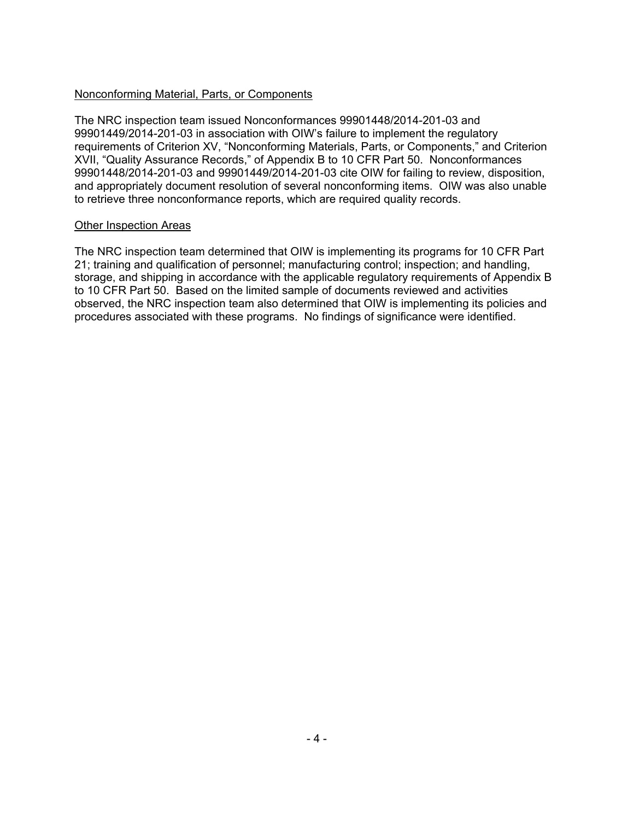### Nonconforming Material, Parts, or Components

The NRC inspection team issued Nonconformances 99901448/2014-201-03 and 99901449/2014-201-03 in association with OIW's failure to implement the regulatory requirements of Criterion XV, "Nonconforming Materials, Parts, or Components," and Criterion XVII, "Quality Assurance Records," of Appendix B to 10 CFR Part 50. Nonconformances 99901448/2014-201-03 and 99901449/2014-201-03 cite OIW for failing to review, disposition, and appropriately document resolution of several nonconforming items. OIW was also unable to retrieve three nonconformance reports, which are required quality records.

#### Other Inspection Areas

The NRC inspection team determined that OIW is implementing its programs for 10 CFR Part 21; training and qualification of personnel; manufacturing control; inspection; and handling, storage, and shipping in accordance with the applicable regulatory requirements of Appendix B to 10 CFR Part 50. Based on the limited sample of documents reviewed and activities observed, the NRC inspection team also determined that OIW is implementing its policies and procedures associated with these programs. No findings of significance were identified.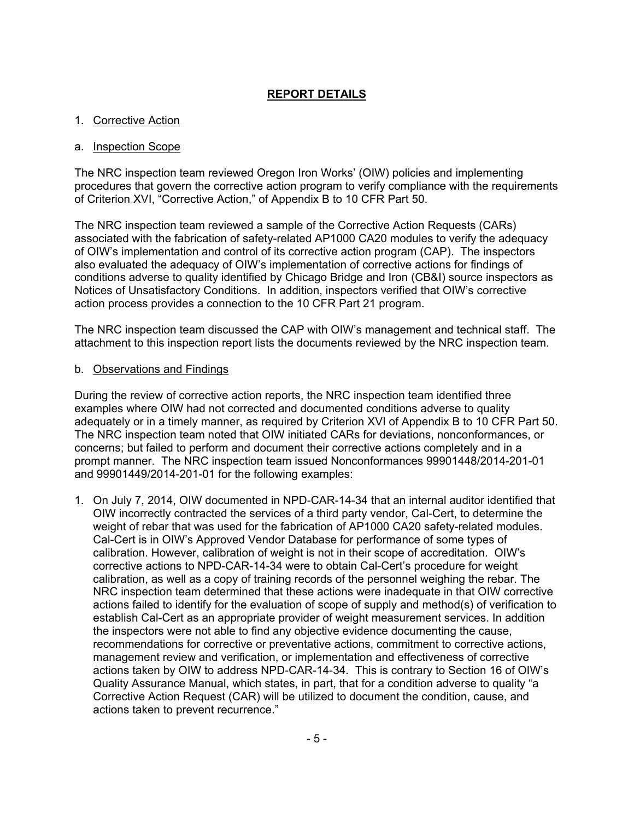### **REPORT DETAILS**

### 1. Corrective Action

#### a. Inspection Scope

The NRC inspection team reviewed Oregon Iron Works' (OIW) policies and implementing procedures that govern the corrective action program to verify compliance with the requirements of Criterion XVI, "Corrective Action," of Appendix B to 10 CFR Part 50.

The NRC inspection team reviewed a sample of the Corrective Action Requests (CARs) associated with the fabrication of safety-related AP1000 CA20 modules to verify the adequacy of OIW's implementation and control of its corrective action program (CAP). The inspectors also evaluated the adequacy of OIW's implementation of corrective actions for findings of conditions adverse to quality identified by Chicago Bridge and Iron (CB&I) source inspectors as Notices of Unsatisfactory Conditions. In addition, inspectors verified that OIW's corrective action process provides a connection to the 10 CFR Part 21 program.

The NRC inspection team discussed the CAP with OIW's management and technical staff. The attachment to this inspection report lists the documents reviewed by the NRC inspection team.

#### b. Observations and Findings

During the review of corrective action reports, the NRC inspection team identified three examples where OIW had not corrected and documented conditions adverse to quality adequately or in a timely manner, as required by Criterion XVI of Appendix B to 10 CFR Part 50. The NRC inspection team noted that OIW initiated CARs for deviations, nonconformances, or concerns; but failed to perform and document their corrective actions completely and in a prompt manner. The NRC inspection team issued Nonconformances 99901448/2014-201-01 and 99901449/2014-201-01 for the following examples:

1. On July 7, 2014, OIW documented in NPD-CAR-14-34 that an internal auditor identified that OIW incorrectly contracted the services of a third party vendor, Cal-Cert, to determine the weight of rebar that was used for the fabrication of AP1000 CA20 safety-related modules. Cal-Cert is in OIW's Approved Vendor Database for performance of some types of calibration. However, calibration of weight is not in their scope of accreditation. OIW's corrective actions to NPD-CAR-14-34 were to obtain Cal-Cert's procedure for weight calibration, as well as a copy of training records of the personnel weighing the rebar. The NRC inspection team determined that these actions were inadequate in that OIW corrective actions failed to identify for the evaluation of scope of supply and method(s) of verification to establish Cal-Cert as an appropriate provider of weight measurement services. In addition the inspectors were not able to find any objective evidence documenting the cause, recommendations for corrective or preventative actions, commitment to corrective actions, management review and verification, or implementation and effectiveness of corrective actions taken by OIW to address NPD-CAR-14-34. This is contrary to Section 16 of OIW's Quality Assurance Manual, which states, in part, that for a condition adverse to quality "a Corrective Action Request (CAR) will be utilized to document the condition, cause, and actions taken to prevent recurrence."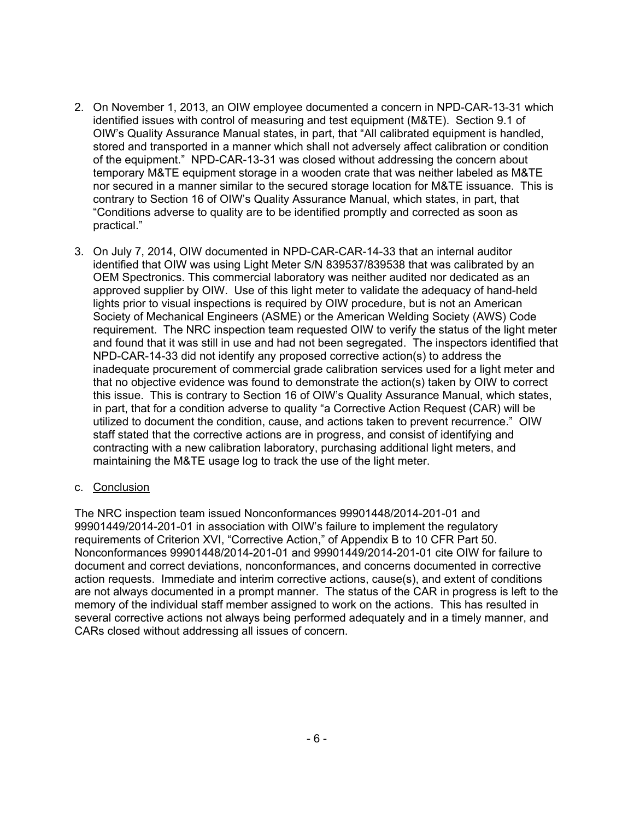- 2. On November 1, 2013, an OIW employee documented a concern in NPD-CAR-13-31 which identified issues with control of measuring and test equipment (M&TE). Section 9.1 of OIW's Quality Assurance Manual states, in part, that "All calibrated equipment is handled, stored and transported in a manner which shall not adversely affect calibration or condition of the equipment." NPD-CAR-13-31 was closed without addressing the concern about temporary M&TE equipment storage in a wooden crate that was neither labeled as M&TE nor secured in a manner similar to the secured storage location for M&TE issuance. This is contrary to Section 16 of OIW's Quality Assurance Manual, which states, in part, that "Conditions adverse to quality are to be identified promptly and corrected as soon as practical."
- 3. On July 7, 2014, OIW documented in NPD-CAR-CAR-14-33 that an internal auditor identified that OIW was using Light Meter S/N 839537/839538 that was calibrated by an OEM Spectronics. This commercial laboratory was neither audited nor dedicated as an approved supplier by OIW. Use of this light meter to validate the adequacy of hand-held lights prior to visual inspections is required by OIW procedure, but is not an American Society of Mechanical Engineers (ASME) or the American Welding Society (AWS) Code requirement. The NRC inspection team requested OIW to verify the status of the light meter and found that it was still in use and had not been segregated. The inspectors identified that NPD-CAR-14-33 did not identify any proposed corrective action(s) to address the inadequate procurement of commercial grade calibration services used for a light meter and that no objective evidence was found to demonstrate the action(s) taken by OIW to correct this issue. This is contrary to Section 16 of OIW's Quality Assurance Manual, which states, in part, that for a condition adverse to quality "a Corrective Action Request (CAR) will be utilized to document the condition, cause, and actions taken to prevent recurrence." OIW staff stated that the corrective actions are in progress, and consist of identifying and contracting with a new calibration laboratory, purchasing additional light meters, and maintaining the M&TE usage log to track the use of the light meter.

#### c. Conclusion

The NRC inspection team issued Nonconformances 99901448/2014-201-01 and 99901449/2014-201-01 in association with OIW's failure to implement the regulatory requirements of Criterion XVI, "Corrective Action," of Appendix B to 10 CFR Part 50. Nonconformances 99901448/2014-201-01 and 99901449/2014-201-01 cite OIW for failure to document and correct deviations, nonconformances, and concerns documented in corrective action requests. Immediate and interim corrective actions, cause(s), and extent of conditions are not always documented in a prompt manner. The status of the CAR in progress is left to the memory of the individual staff member assigned to work on the actions. This has resulted in several corrective actions not always being performed adequately and in a timely manner, and CARs closed without addressing all issues of concern.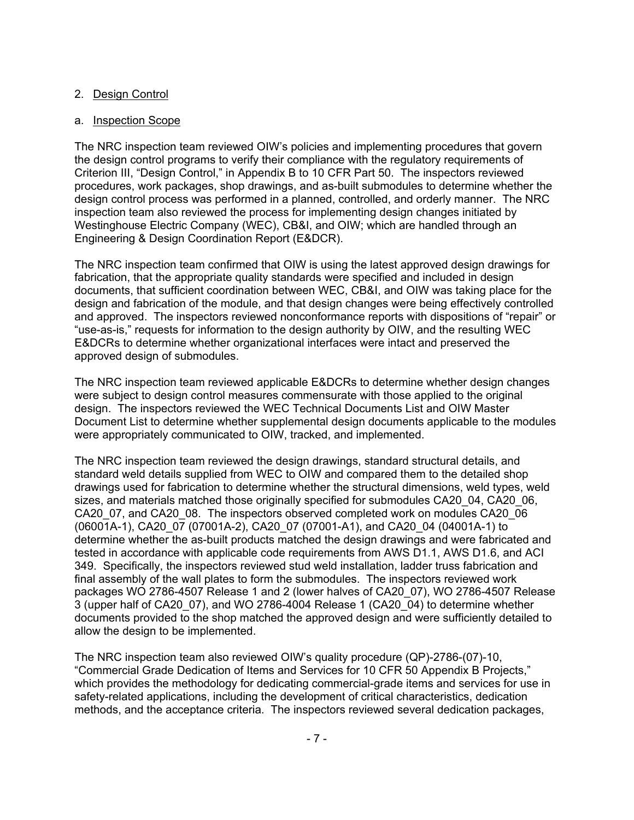### 2. Design Control

#### a. Inspection Scope

The NRC inspection team reviewed OIW's policies and implementing procedures that govern the design control programs to verify their compliance with the regulatory requirements of Criterion III, "Design Control," in Appendix B to 10 CFR Part 50. The inspectors reviewed procedures, work packages, shop drawings, and as-built submodules to determine whether the design control process was performed in a planned, controlled, and orderly manner. The NRC inspection team also reviewed the process for implementing design changes initiated by Westinghouse Electric Company (WEC), CB&I, and OIW; which are handled through an Engineering & Design Coordination Report (E&DCR).

The NRC inspection team confirmed that OIW is using the latest approved design drawings for fabrication, that the appropriate quality standards were specified and included in design documents, that sufficient coordination between WEC, CB&I, and OIW was taking place for the design and fabrication of the module, and that design changes were being effectively controlled and approved. The inspectors reviewed nonconformance reports with dispositions of "repair" or "use-as-is," requests for information to the design authority by OIW, and the resulting WEC E&DCRs to determine whether organizational interfaces were intact and preserved the approved design of submodules.

The NRC inspection team reviewed applicable E&DCRs to determine whether design changes were subject to design control measures commensurate with those applied to the original design. The inspectors reviewed the WEC Technical Documents List and OIW Master Document List to determine whether supplemental design documents applicable to the modules were appropriately communicated to OIW, tracked, and implemented.

The NRC inspection team reviewed the design drawings, standard structural details, and standard weld details supplied from WEC to OIW and compared them to the detailed shop drawings used for fabrication to determine whether the structural dimensions, weld types, weld sizes, and materials matched those originally specified for submodules CA20\_04, CA20\_06, CA20\_07, and CA20\_08. The inspectors observed completed work on modules CA20\_06 (06001A-1), CA20\_07 (07001A-2), CA20\_07 (07001-A1), and CA20\_04 (04001A-1) to determine whether the as-built products matched the design drawings and were fabricated and tested in accordance with applicable code requirements from AWS D1.1, AWS D1.6, and ACI 349. Specifically, the inspectors reviewed stud weld installation, ladder truss fabrication and final assembly of the wall plates to form the submodules. The inspectors reviewed work packages WO 2786-4507 Release 1 and 2 (lower halves of CA20\_07), WO 2786-4507 Release 3 (upper half of CA20\_07), and WO 2786-4004 Release 1 (CA20\_04) to determine whether documents provided to the shop matched the approved design and were sufficiently detailed to allow the design to be implemented.

The NRC inspection team also reviewed OIW's quality procedure (QP)-2786-(07)-10, "Commercial Grade Dedication of Items and Services for 10 CFR 50 Appendix B Projects," which provides the methodology for dedicating commercial-grade items and services for use in safety-related applications, including the development of critical characteristics, dedication methods, and the acceptance criteria. The inspectors reviewed several dedication packages,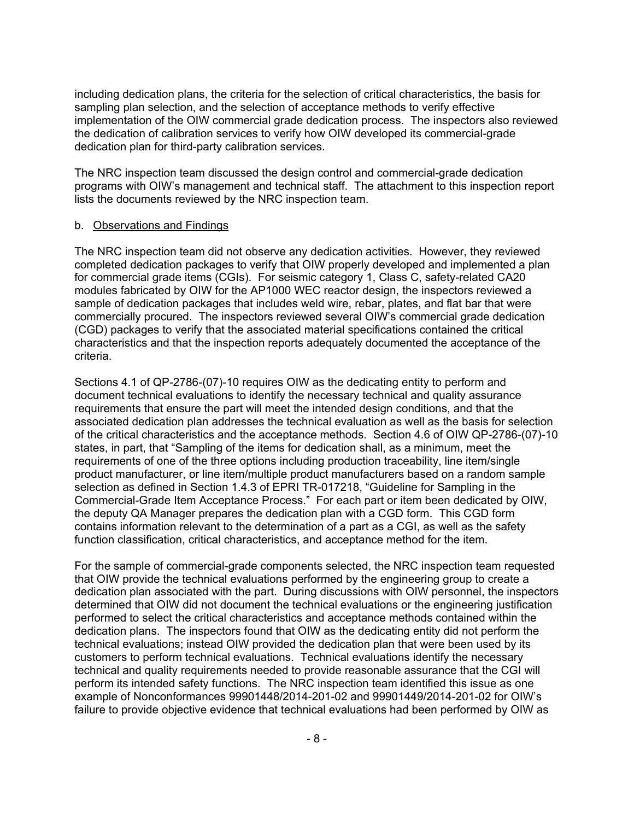including dedication plans, the criteria for the selection of critical characteristics, the basis for sampling plan selection, and the selection of acceptance methods to verify effective implementation of the OIW commercial grade dedication process. The inspectors also reviewed the dedication of calibration services to verify how OIW developed its commercial-grade dedication plan for third-party calibration services.

The NRC inspection team discussed the design control and commercial-grade dedication programs with OIW's management and technical staff. The attachment to this inspection report lists the documents reviewed by the NRC inspection team.

#### b. Observations and Findings

The NRC inspection team did not observe any dedication activities. However, they reviewed completed dedication packages to verify that OIW properly developed and implemented a plan for commercial grade items (CGIs). For seismic category 1, Class C, safety-related CA20 modules fabricated by OIW for the AP1000 WEC reactor design, the inspectors reviewed a sample of dedication packages that includes weld wire, rebar, plates, and flat bar that were commercially procured. The inspectors reviewed several OIW's commercial grade dedication (CGD) packages to verify that the associated material specifications contained the critical characteristics and that the inspection reports adequately documented the acceptance of the criteria.

Sections 4.1 of QP-2786-(07)-10 requires OIW as the dedicating entity to perform and document technical evaluations to identify the necessary technical and quality assurance requirements that ensure the part will meet the intended design conditions, and that the associated dedication plan addresses the technical evaluation as well as the basis for selection of the critical characteristics and the acceptance methods. Section 4.6 of OIW QP-2786-(07)-10 states, in part, that "Sampling of the items for dedication shall, as a minimum, meet the requirements of one of the three options including production traceability, line item/single product manufacturer, or line item/multiple product manufacturers based on a random sample selection as defined in Section 1.4.3 of EPRI TR-017218, "Guideline for Sampling in the Commercial-Grade Item Acceptance Process." For each part or item been dedicated by OIW, the deputy QA Manager prepares the dedication plan with a CGD form. This CGD form contains information relevant to the determination of a part as a CGI, as well as the safety function classification, critical characteristics, and acceptance method for the item.

For the sample of commercial-grade components selected, the NRC inspection team requested that OIW provide the technical evaluations performed by the engineering group to create a dedication plan associated with the part. During discussions with OIW personnel, the inspectors determined that OIW did not document the technical evaluations or the engineering justification performed to select the critical characteristics and acceptance methods contained within the dedication plans. The inspectors found that OIW as the dedicating entity did not perform the technical evaluations; instead OIW provided the dedication plan that were been used by its customers to perform technical evaluations. Technical evaluations identify the necessary technical and quality requirements needed to provide reasonable assurance that the CGI will perform its intended safety functions. The NRC inspection team identified this issue as one example of Nonconformances 99901448/2014-201-02 and 99901449/2014-201-02 for OIW's failure to provide objective evidence that technical evaluations had been performed by OIW as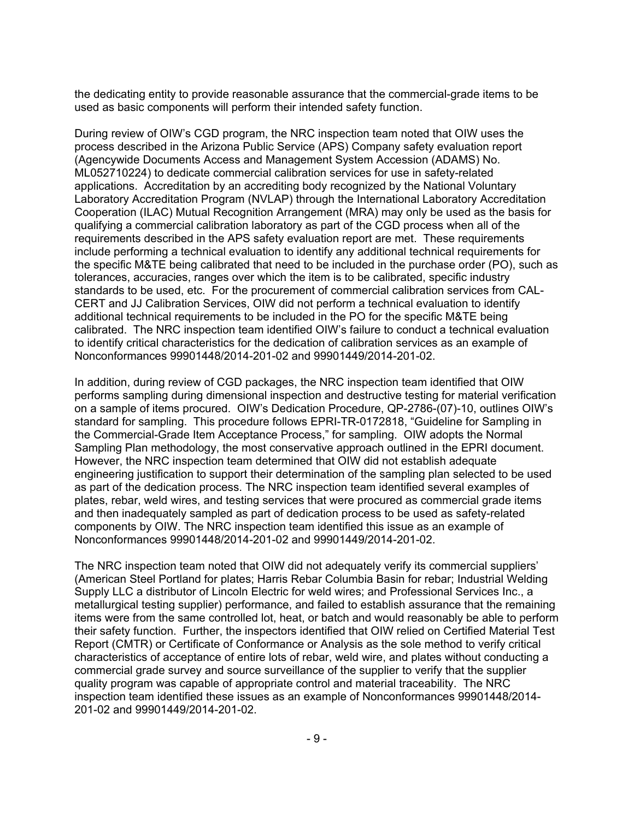the dedicating entity to provide reasonable assurance that the commercial-grade items to be used as basic components will perform their intended safety function.

During review of OIW's CGD program, the NRC inspection team noted that OIW uses the process described in the Arizona Public Service (APS) Company safety evaluation report (Agencywide Documents Access and Management System Accession (ADAMS) No. ML052710224) to dedicate commercial calibration services for use in safety-related applications. Accreditation by an accrediting body recognized by the National Voluntary Laboratory Accreditation Program (NVLAP) through the International Laboratory Accreditation Cooperation (ILAC) Mutual Recognition Arrangement (MRA) may only be used as the basis for qualifying a commercial calibration laboratory as part of the CGD process when all of the requirements described in the APS safety evaluation report are met. These requirements include performing a technical evaluation to identify any additional technical requirements for the specific M&TE being calibrated that need to be included in the purchase order (PO), such as tolerances, accuracies, ranges over which the item is to be calibrated, specific industry standards to be used, etc. For the procurement of commercial calibration services from CAL-CERT and JJ Calibration Services, OIW did not perform a technical evaluation to identify additional technical requirements to be included in the PO for the specific M&TE being calibrated. The NRC inspection team identified OIW's failure to conduct a technical evaluation to identify critical characteristics for the dedication of calibration services as an example of Nonconformances 99901448/2014-201-02 and 99901449/2014-201-02.

In addition, during review of CGD packages, the NRC inspection team identified that OIW performs sampling during dimensional inspection and destructive testing for material verification on a sample of items procured. OIW's Dedication Procedure, QP-2786-(07)-10, outlines OIW's standard for sampling. This procedure follows EPRI-TR-0172818, "Guideline for Sampling in the Commercial-Grade Item Acceptance Process," for sampling. OIW adopts the Normal Sampling Plan methodology, the most conservative approach outlined in the EPRI document. However, the NRC inspection team determined that OIW did not establish adequate engineering justification to support their determination of the sampling plan selected to be used as part of the dedication process. The NRC inspection team identified several examples of plates, rebar, weld wires, and testing services that were procured as commercial grade items and then inadequately sampled as part of dedication process to be used as safety-related components by OIW. The NRC inspection team identified this issue as an example of Nonconformances 99901448/2014-201-02 and 99901449/2014-201-02.

The NRC inspection team noted that OIW did not adequately verify its commercial suppliers' (American Steel Portland for plates; Harris Rebar Columbia Basin for rebar; Industrial Welding Supply LLC a distributor of Lincoln Electric for weld wires; and Professional Services Inc., a metallurgical testing supplier) performance, and failed to establish assurance that the remaining items were from the same controlled lot, heat, or batch and would reasonably be able to perform their safety function. Further, the inspectors identified that OIW relied on Certified Material Test Report (CMTR) or Certificate of Conformance or Analysis as the sole method to verify critical characteristics of acceptance of entire lots of rebar, weld wire, and plates without conducting a commercial grade survey and source surveillance of the supplier to verify that the supplier quality program was capable of appropriate control and material traceability. The NRC inspection team identified these issues as an example of Nonconformances 99901448/2014- 201-02 and 99901449/2014-201-02.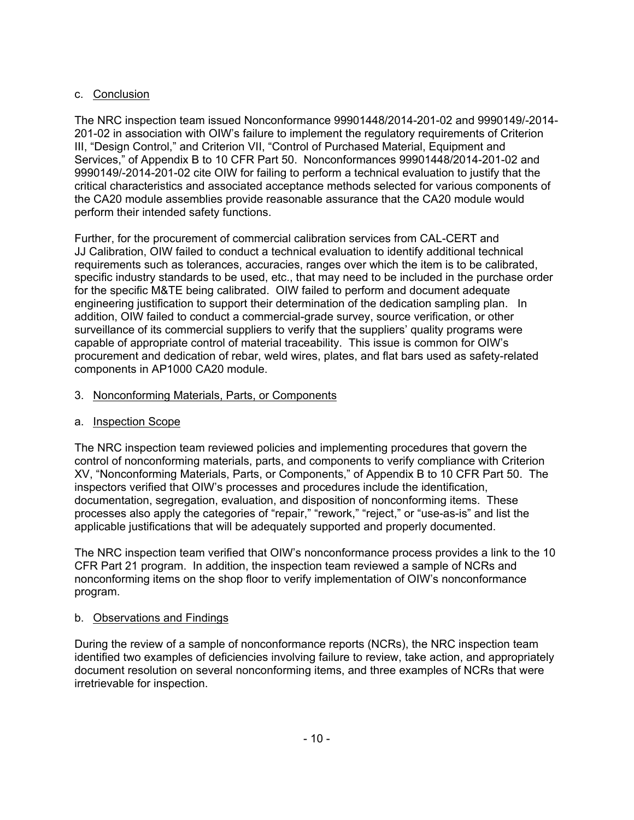## c. Conclusion

The NRC inspection team issued Nonconformance 99901448/2014-201-02 and 9990149/-2014- 201-02 in association with OIW's failure to implement the regulatory requirements of Criterion III, "Design Control," and Criterion VII, "Control of Purchased Material, Equipment and Services," of Appendix B to 10 CFR Part 50. Nonconformances 99901448/2014-201-02 and 9990149/-2014-201-02 cite OIW for failing to perform a technical evaluation to justify that the critical characteristics and associated acceptance methods selected for various components of the CA20 module assemblies provide reasonable assurance that the CA20 module would perform their intended safety functions.

Further, for the procurement of commercial calibration services from CAL-CERT and JJ Calibration, OIW failed to conduct a technical evaluation to identify additional technical requirements such as tolerances, accuracies, ranges over which the item is to be calibrated, specific industry standards to be used, etc., that may need to be included in the purchase order for the specific M&TE being calibrated. OIW failed to perform and document adequate engineering justification to support their determination of the dedication sampling plan. In addition, OIW failed to conduct a commercial-grade survey, source verification, or other surveillance of its commercial suppliers to verify that the suppliers' quality programs were capable of appropriate control of material traceability. This issue is common for OIW's procurement and dedication of rebar, weld wires, plates, and flat bars used as safety-related components in AP1000 CA20 module.

## 3. Nonconforming Materials, Parts, or Components

## a. Inspection Scope

The NRC inspection team reviewed policies and implementing procedures that govern the control of nonconforming materials, parts, and components to verify compliance with Criterion XV, "Nonconforming Materials, Parts, or Components," of Appendix B to 10 CFR Part 50. The inspectors verified that OIW's processes and procedures include the identification, documentation, segregation, evaluation, and disposition of nonconforming items. These processes also apply the categories of "repair," "rework," "reject," or "use-as-is" and list the applicable justifications that will be adequately supported and properly documented.

The NRC inspection team verified that OIW's nonconformance process provides a link to the 10 CFR Part 21 program. In addition, the inspection team reviewed a sample of NCRs and nonconforming items on the shop floor to verify implementation of OIW's nonconformance program.

## b. Observations and Findings

During the review of a sample of nonconformance reports (NCRs), the NRC inspection team identified two examples of deficiencies involving failure to review, take action, and appropriately document resolution on several nonconforming items, and three examples of NCRs that were irretrievable for inspection.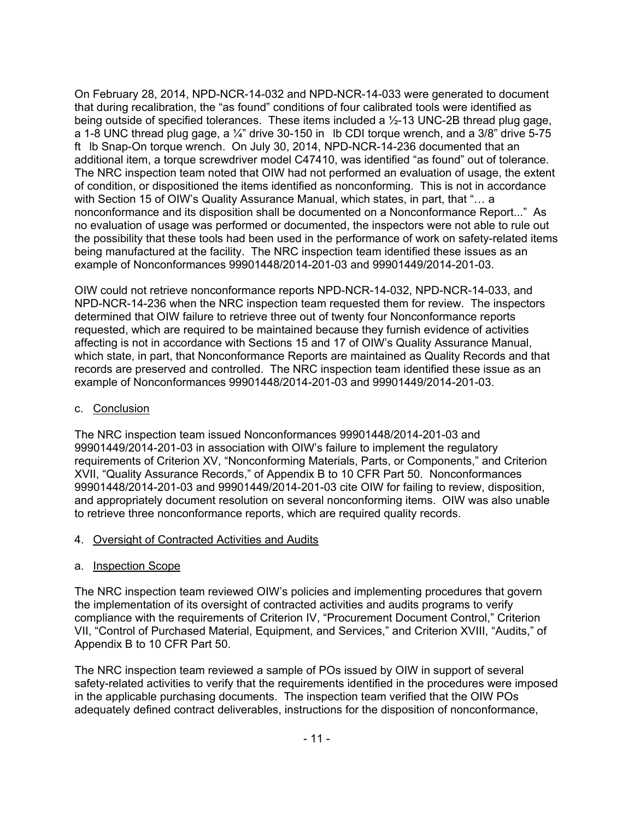On February 28, 2014, NPD-NCR-14-032 and NPD-NCR-14-033 were generated to document that during recalibration, the "as found" conditions of four calibrated tools were identified as being outside of specified tolerances. These items included a ½-13 UNC-2B thread plug gage, a 1-8 UNC thread plug gage, a  $\frac{1}{4}$ " drive 30-150 in lb CDI torque wrench, and a 3/8" drive 5-75 ft Ib Snap-On torque wrench. On July 30, 2014, NPD-NCR-14-236 documented that an additional item, a torque screwdriver model C47410, was identified "as found" out of tolerance. The NRC inspection team noted that OIW had not performed an evaluation of usage, the extent of condition, or dispositioned the items identified as nonconforming. This is not in accordance with Section 15 of OIW's Quality Assurance Manual, which states, in part, that "… a nonconformance and its disposition shall be documented on a Nonconformance Report..." As no evaluation of usage was performed or documented, the inspectors were not able to rule out the possibility that these tools had been used in the performance of work on safety-related items being manufactured at the facility. The NRC inspection team identified these issues as an example of Nonconformances 99901448/2014-201-03 and 99901449/2014-201-03.

OIW could not retrieve nonconformance reports NPD-NCR-14-032, NPD-NCR-14-033, and NPD-NCR-14-236 when the NRC inspection team requested them for review. The inspectors determined that OIW failure to retrieve three out of twenty four Nonconformance reports requested, which are required to be maintained because they furnish evidence of activities affecting is not in accordance with Sections 15 and 17 of OIW's Quality Assurance Manual, which state, in part, that Nonconformance Reports are maintained as Quality Records and that records are preserved and controlled. The NRC inspection team identified these issue as an example of Nonconformances 99901448/2014-201-03 and 99901449/2014-201-03.

### c. Conclusion

The NRC inspection team issued Nonconformances 99901448/2014-201-03 and 99901449/2014-201-03 in association with OIW's failure to implement the regulatory requirements of Criterion XV, "Nonconforming Materials, Parts, or Components," and Criterion XVII, "Quality Assurance Records," of Appendix B to 10 CFR Part 50. Nonconformances 99901448/2014-201-03 and 99901449/2014-201-03 cite OIW for failing to review, disposition, and appropriately document resolution on several nonconforming items. OIW was also unable to retrieve three nonconformance reports, which are required quality records.

#### 4. Oversight of Contracted Activities and Audits

#### a. Inspection Scope

The NRC inspection team reviewed OIW's policies and implementing procedures that govern the implementation of its oversight of contracted activities and audits programs to verify compliance with the requirements of Criterion IV, "Procurement Document Control," Criterion VII, "Control of Purchased Material, Equipment, and Services," and Criterion XVIII, "Audits," of Appendix B to 10 CFR Part 50.

The NRC inspection team reviewed a sample of POs issued by OIW in support of several safety-related activities to verify that the requirements identified in the procedures were imposed in the applicable purchasing documents. The inspection team verified that the OIW POs adequately defined contract deliverables, instructions for the disposition of nonconformance,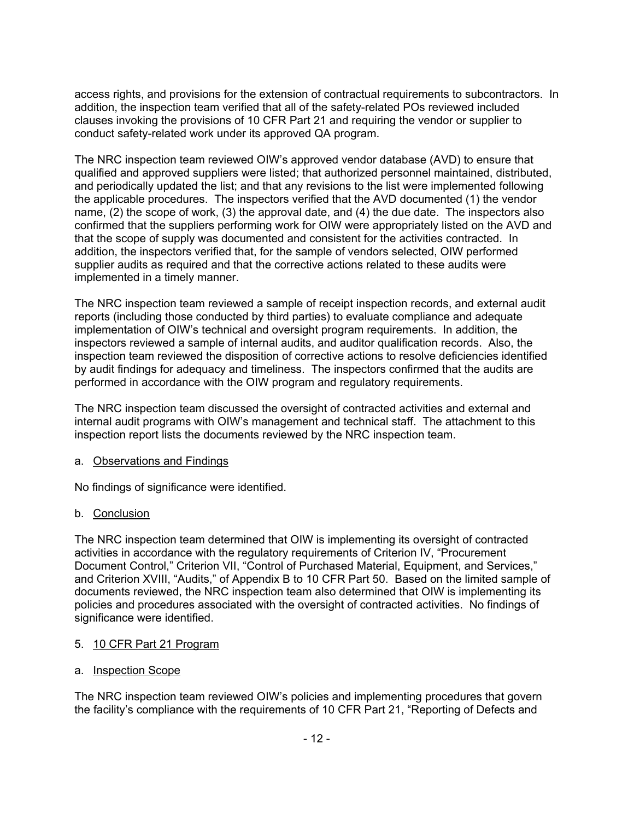access rights, and provisions for the extension of contractual requirements to subcontractors. In addition, the inspection team verified that all of the safety-related POs reviewed included clauses invoking the provisions of 10 CFR Part 21 and requiring the vendor or supplier to conduct safety-related work under its approved QA program.

The NRC inspection team reviewed OIW's approved vendor database (AVD) to ensure that qualified and approved suppliers were listed; that authorized personnel maintained, distributed, and periodically updated the list; and that any revisions to the list were implemented following the applicable procedures. The inspectors verified that the AVD documented (1) the vendor name, (2) the scope of work, (3) the approval date, and (4) the due date. The inspectors also confirmed that the suppliers performing work for OIW were appropriately listed on the AVD and that the scope of supply was documented and consistent for the activities contracted. In addition, the inspectors verified that, for the sample of vendors selected, OIW performed supplier audits as required and that the corrective actions related to these audits were implemented in a timely manner.

The NRC inspection team reviewed a sample of receipt inspection records, and external audit reports (including those conducted by third parties) to evaluate compliance and adequate implementation of OIW's technical and oversight program requirements. In addition, the inspectors reviewed a sample of internal audits, and auditor qualification records. Also, the inspection team reviewed the disposition of corrective actions to resolve deficiencies identified by audit findings for adequacy and timeliness. The inspectors confirmed that the audits are performed in accordance with the OIW program and regulatory requirements.

The NRC inspection team discussed the oversight of contracted activities and external and internal audit programs with OIW's management and technical staff. The attachment to this inspection report lists the documents reviewed by the NRC inspection team.

## a. Observations and Findings

No findings of significance were identified.

## b. Conclusion

The NRC inspection team determined that OIW is implementing its oversight of contracted activities in accordance with the regulatory requirements of Criterion IV, "Procurement Document Control," Criterion VII, "Control of Purchased Material, Equipment, and Services," and Criterion XVIII, "Audits," of Appendix B to 10 CFR Part 50. Based on the limited sample of documents reviewed, the NRC inspection team also determined that OIW is implementing its policies and procedures associated with the oversight of contracted activities. No findings of significance were identified.

#### 5. 10 CFR Part 21 Program

#### a. Inspection Scope

The NRC inspection team reviewed OIW's policies and implementing procedures that govern the facility's compliance with the requirements of 10 CFR Part 21, "Reporting of Defects and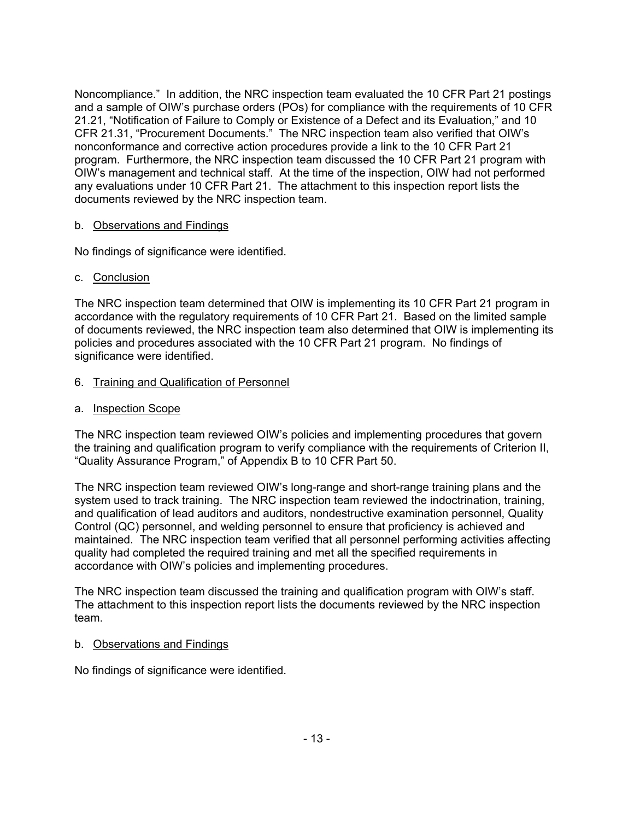Noncompliance." In addition, the NRC inspection team evaluated the 10 CFR Part 21 postings and a sample of OIW's purchase orders (POs) for compliance with the requirements of 10 CFR 21.21, "Notification of Failure to Comply or Existence of a Defect and its Evaluation," and 10 CFR 21.31, "Procurement Documents." The NRC inspection team also verified that OIW's nonconformance and corrective action procedures provide a link to the 10 CFR Part 21 program. Furthermore, the NRC inspection team discussed the 10 CFR Part 21 program with OIW's management and technical staff. At the time of the inspection, OIW had not performed any evaluations under 10 CFR Part 21. The attachment to this inspection report lists the documents reviewed by the NRC inspection team.

### b. Observations and Findings

No findings of significance were identified.

#### c. Conclusion

The NRC inspection team determined that OIW is implementing its 10 CFR Part 21 program in accordance with the regulatory requirements of 10 CFR Part 21. Based on the limited sample of documents reviewed, the NRC inspection team also determined that OIW is implementing its policies and procedures associated with the 10 CFR Part 21 program. No findings of significance were identified.

### 6. Training and Qualification of Personnel

a. Inspection Scope

The NRC inspection team reviewed OIW's policies and implementing procedures that govern the training and qualification program to verify compliance with the requirements of Criterion II, "Quality Assurance Program," of Appendix B to 10 CFR Part 50.

The NRC inspection team reviewed OIW's long-range and short-range training plans and the system used to track training. The NRC inspection team reviewed the indoctrination, training, and qualification of lead auditors and auditors, nondestructive examination personnel, Quality Control (QC) personnel, and welding personnel to ensure that proficiency is achieved and maintained. The NRC inspection team verified that all personnel performing activities affecting quality had completed the required training and met all the specified requirements in accordance with OIW's policies and implementing procedures.

The NRC inspection team discussed the training and qualification program with OIW's staff. The attachment to this inspection report lists the documents reviewed by the NRC inspection team.

#### b. Observations and Findings

No findings of significance were identified.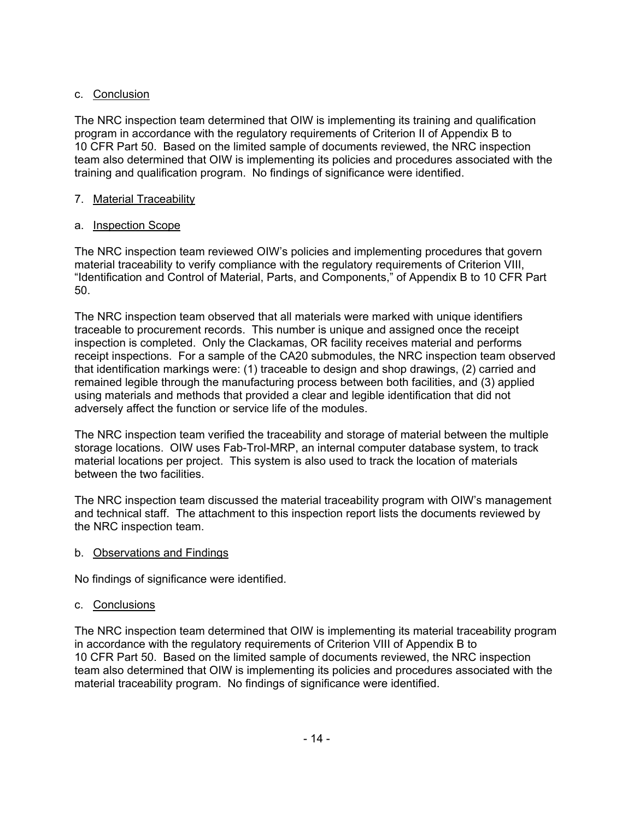## c. Conclusion

The NRC inspection team determined that OIW is implementing its training and qualification program in accordance with the regulatory requirements of Criterion II of Appendix B to 10 CFR Part 50. Based on the limited sample of documents reviewed, the NRC inspection team also determined that OIW is implementing its policies and procedures associated with the training and qualification program. No findings of significance were identified.

## 7. Material Traceability

# a. Inspection Scope

The NRC inspection team reviewed OIW's policies and implementing procedures that govern material traceability to verify compliance with the regulatory requirements of Criterion VIII, "Identification and Control of Material, Parts, and Components," of Appendix B to 10 CFR Part 50.

The NRC inspection team observed that all materials were marked with unique identifiers traceable to procurement records. This number is unique and assigned once the receipt inspection is completed. Only the Clackamas, OR facility receives material and performs receipt inspections. For a sample of the CA20 submodules, the NRC inspection team observed that identification markings were: (1) traceable to design and shop drawings, (2) carried and remained legible through the manufacturing process between both facilities, and (3) applied using materials and methods that provided a clear and legible identification that did not adversely affect the function or service life of the modules.

The NRC inspection team verified the traceability and storage of material between the multiple storage locations. OIW uses Fab-Trol-MRP, an internal computer database system, to track material locations per project. This system is also used to track the location of materials between the two facilities.

The NRC inspection team discussed the material traceability program with OIW's management and technical staff. The attachment to this inspection report lists the documents reviewed by the NRC inspection team.

## b. Observations and Findings

No findings of significance were identified.

# c. Conclusions

The NRC inspection team determined that OIW is implementing its material traceability program in accordance with the regulatory requirements of Criterion VIII of Appendix B to 10 CFR Part 50. Based on the limited sample of documents reviewed, the NRC inspection team also determined that OIW is implementing its policies and procedures associated with the material traceability program. No findings of significance were identified.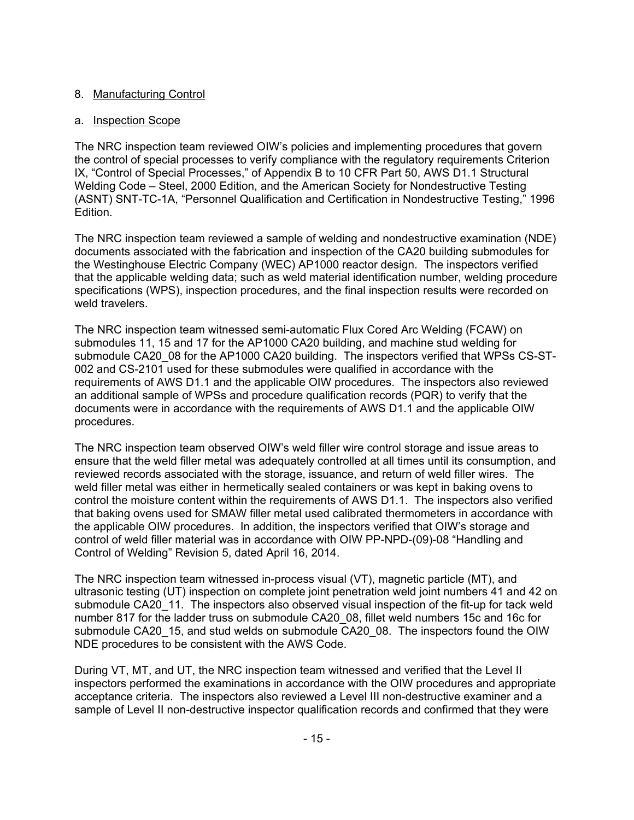## 8. Manufacturing Control

### a. Inspection Scope

The NRC inspection team reviewed OIW's policies and implementing procedures that govern the control of special processes to verify compliance with the regulatory requirements Criterion IX, "Control of Special Processes," of Appendix B to 10 CFR Part 50, AWS D1.1 Structural Welding Code – Steel, 2000 Edition, and the American Society for Nondestructive Testing (ASNT) SNT-TC-1A, "Personnel Qualification and Certification in Nondestructive Testing," 1996 Edition.

The NRC inspection team reviewed a sample of welding and nondestructive examination (NDE) documents associated with the fabrication and inspection of the CA20 building submodules for the Westinghouse Electric Company (WEC) AP1000 reactor design. The inspectors verified that the applicable welding data; such as weld material identification number, welding procedure specifications (WPS), inspection procedures, and the final inspection results were recorded on weld travelers.

The NRC inspection team witnessed semi-automatic Flux Cored Arc Welding (FCAW) on submodules 11, 15 and 17 for the AP1000 CA20 building, and machine stud welding for submodule CA20\_08 for the AP1000 CA20 building. The inspectors verified that WPSs CS-ST-002 and CS-2101 used for these submodules were qualified in accordance with the requirements of AWS D1.1 and the applicable OIW procedures. The inspectors also reviewed an additional sample of WPSs and procedure qualification records (PQR) to verify that the documents were in accordance with the requirements of AWS D1.1 and the applicable OIW procedures.

The NRC inspection team observed OIW's weld filler wire control storage and issue areas to ensure that the weld filler metal was adequately controlled at all times until its consumption, and reviewed records associated with the storage, issuance, and return of weld filler wires. The weld filler metal was either in hermetically sealed containers or was kept in baking ovens to control the moisture content within the requirements of AWS D1.1. The inspectors also verified that baking ovens used for SMAW filler metal used calibrated thermometers in accordance with the applicable OIW procedures. In addition, the inspectors verified that OIW's storage and control of weld filler material was in accordance with OIW PP-NPD-(09)-08 "Handling and Control of Welding" Revision 5, dated April 16, 2014.

The NRC inspection team witnessed in-process visual (VT), magnetic particle (MT), and ultrasonic testing (UT) inspection on complete joint penetration weld joint numbers 41 and 42 on submodule CA20\_11. The inspectors also observed visual inspection of the fit-up for tack weld number 817 for the ladder truss on submodule CA20\_08, fillet weld numbers 15c and 16c for submodule CA20\_15, and stud welds on submodule CA20\_08. The inspectors found the OIW NDE procedures to be consistent with the AWS Code.

During VT, MT, and UT, the NRC inspection team witnessed and verified that the Level II inspectors performed the examinations in accordance with the OIW procedures and appropriate acceptance criteria. The inspectors also reviewed a Level III non-destructive examiner and a sample of Level II non-destructive inspector qualification records and confirmed that they were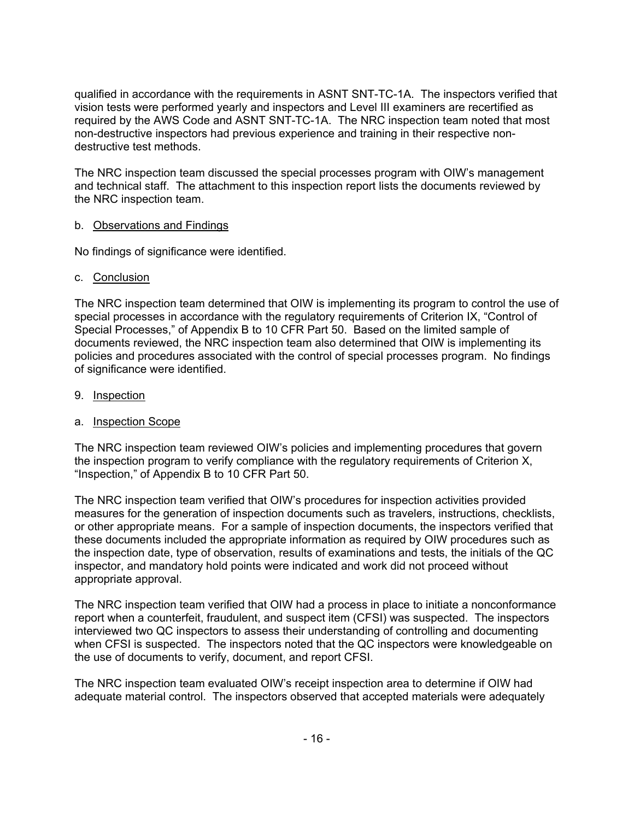qualified in accordance with the requirements in ASNT SNT-TC-1A. The inspectors verified that vision tests were performed yearly and inspectors and Level III examiners are recertified as required by the AWS Code and ASNT SNT-TC-1A. The NRC inspection team noted that most non-destructive inspectors had previous experience and training in their respective nondestructive test methods.

The NRC inspection team discussed the special processes program with OIW's management and technical staff. The attachment to this inspection report lists the documents reviewed by the NRC inspection team.

### b. Observations and Findings

No findings of significance were identified.

#### c. Conclusion

The NRC inspection team determined that OIW is implementing its program to control the use of special processes in accordance with the regulatory requirements of Criterion IX, "Control of Special Processes," of Appendix B to 10 CFR Part 50. Based on the limited sample of documents reviewed, the NRC inspection team also determined that OIW is implementing its policies and procedures associated with the control of special processes program. No findings of significance were identified.

### 9. Inspection

#### a. Inspection Scope

The NRC inspection team reviewed OIW's policies and implementing procedures that govern the inspection program to verify compliance with the regulatory requirements of Criterion X, "Inspection," of Appendix B to 10 CFR Part 50.

The NRC inspection team verified that OIW's procedures for inspection activities provided measures for the generation of inspection documents such as travelers, instructions, checklists, or other appropriate means. For a sample of inspection documents, the inspectors verified that these documents included the appropriate information as required by OIW procedures such as the inspection date, type of observation, results of examinations and tests, the initials of the QC inspector, and mandatory hold points were indicated and work did not proceed without appropriate approval.

The NRC inspection team verified that OIW had a process in place to initiate a nonconformance report when a counterfeit, fraudulent, and suspect item (CFSI) was suspected. The inspectors interviewed two QC inspectors to assess their understanding of controlling and documenting when CFSI is suspected. The inspectors noted that the QC inspectors were knowledgeable on the use of documents to verify, document, and report CFSI.

The NRC inspection team evaluated OIW's receipt inspection area to determine if OIW had adequate material control. The inspectors observed that accepted materials were adequately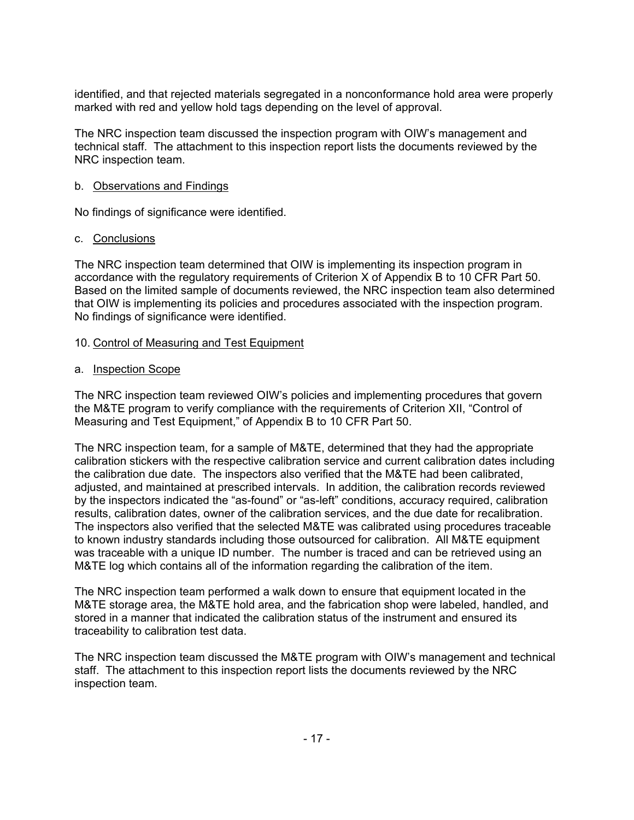identified, and that rejected materials segregated in a nonconformance hold area were properly marked with red and yellow hold tags depending on the level of approval.

The NRC inspection team discussed the inspection program with OIW's management and technical staff. The attachment to this inspection report lists the documents reviewed by the NRC inspection team.

#### b. Observations and Findings

No findings of significance were identified.

#### c. Conclusions

The NRC inspection team determined that OIW is implementing its inspection program in accordance with the regulatory requirements of Criterion X of Appendix B to 10 CFR Part 50. Based on the limited sample of documents reviewed, the NRC inspection team also determined that OIW is implementing its policies and procedures associated with the inspection program. No findings of significance were identified.

#### 10. Control of Measuring and Test Equipment

#### a. Inspection Scope

The NRC inspection team reviewed OIW's policies and implementing procedures that govern the M&TE program to verify compliance with the requirements of Criterion XII, "Control of Measuring and Test Equipment," of Appendix B to 10 CFR Part 50.

The NRC inspection team, for a sample of M&TE, determined that they had the appropriate calibration stickers with the respective calibration service and current calibration dates including the calibration due date. The inspectors also verified that the M&TE had been calibrated, adjusted, and maintained at prescribed intervals. In addition, the calibration records reviewed by the inspectors indicated the "as-found" or "as-left" conditions, accuracy required, calibration results, calibration dates, owner of the calibration services, and the due date for recalibration. The inspectors also verified that the selected M&TE was calibrated using procedures traceable to known industry standards including those outsourced for calibration. All M&TE equipment was traceable with a unique ID number. The number is traced and can be retrieved using an M&TE log which contains all of the information regarding the calibration of the item.

The NRC inspection team performed a walk down to ensure that equipment located in the M&TE storage area, the M&TE hold area, and the fabrication shop were labeled, handled, and stored in a manner that indicated the calibration status of the instrument and ensured its traceability to calibration test data.

The NRC inspection team discussed the M&TE program with OIW's management and technical staff. The attachment to this inspection report lists the documents reviewed by the NRC inspection team.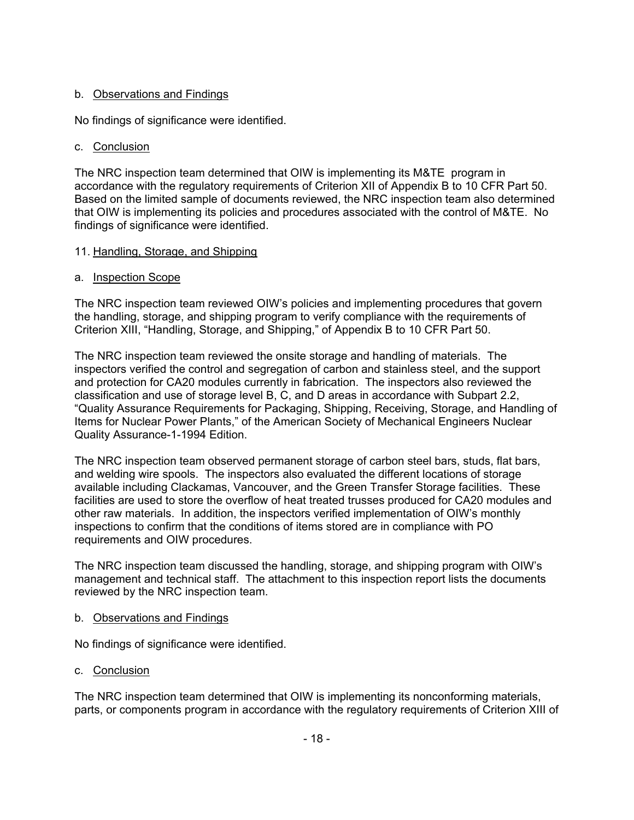### b. Observations and Findings

No findings of significance were identified.

### c. Conclusion

The NRC inspection team determined that OIW is implementing its M&TE program in accordance with the regulatory requirements of Criterion XII of Appendix B to 10 CFR Part 50. Based on the limited sample of documents reviewed, the NRC inspection team also determined that OIW is implementing its policies and procedures associated with the control of M&TE. No findings of significance were identified.

### 11. Handling, Storage, and Shipping

### a. Inspection Scope

The NRC inspection team reviewed OIW's policies and implementing procedures that govern the handling, storage, and shipping program to verify compliance with the requirements of Criterion XIII, "Handling, Storage, and Shipping," of Appendix B to 10 CFR Part 50.

The NRC inspection team reviewed the onsite storage and handling of materials. The inspectors verified the control and segregation of carbon and stainless steel, and the support and protection for CA20 modules currently in fabrication. The inspectors also reviewed the classification and use of storage level B, C, and D areas in accordance with Subpart 2.2, "Quality Assurance Requirements for Packaging, Shipping, Receiving, Storage, and Handling of Items for Nuclear Power Plants," of the American Society of Mechanical Engineers Nuclear Quality Assurance-1-1994 Edition.

The NRC inspection team observed permanent storage of carbon steel bars, studs, flat bars, and welding wire spools. The inspectors also evaluated the different locations of storage available including Clackamas, Vancouver, and the Green Transfer Storage facilities. These facilities are used to store the overflow of heat treated trusses produced for CA20 modules and other raw materials. In addition, the inspectors verified implementation of OIW's monthly inspections to confirm that the conditions of items stored are in compliance with PO requirements and OIW procedures.

The NRC inspection team discussed the handling, storage, and shipping program with OIW's management and technical staff. The attachment to this inspection report lists the documents reviewed by the NRC inspection team.

#### b. Observations and Findings

No findings of significance were identified.

## c. Conclusion

The NRC inspection team determined that OIW is implementing its nonconforming materials, parts, or components program in accordance with the regulatory requirements of Criterion XIII of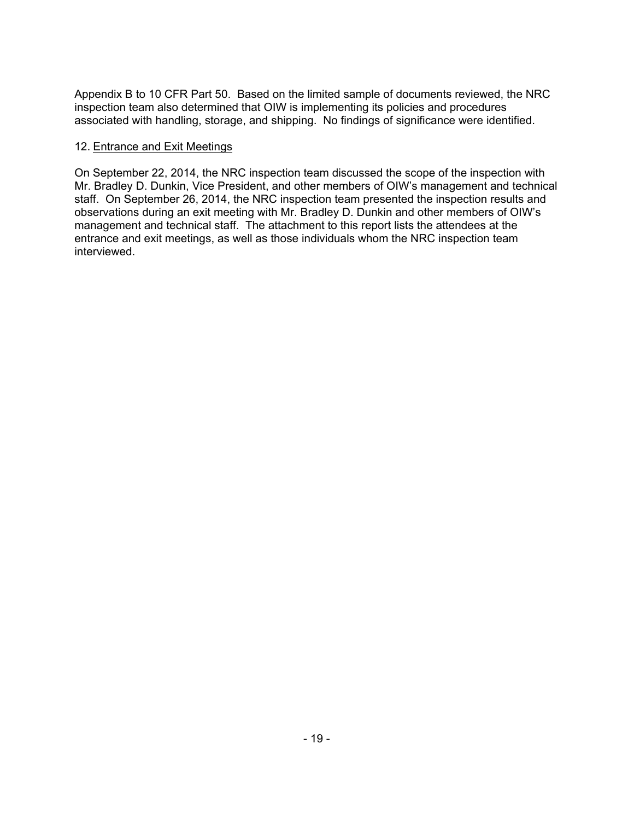Appendix B to 10 CFR Part 50. Based on the limited sample of documents reviewed, the NRC inspection team also determined that OIW is implementing its policies and procedures associated with handling, storage, and shipping. No findings of significance were identified.

#### 12. Entrance and Exit Meetings

On September 22, 2014, the NRC inspection team discussed the scope of the inspection with Mr. Bradley D. Dunkin, Vice President, and other members of OIW's management and technical staff. On September 26, 2014, the NRC inspection team presented the inspection results and observations during an exit meeting with Mr. Bradley D. Dunkin and other members of OIW's management and technical staff. The attachment to this report lists the attendees at the entrance and exit meetings, as well as those individuals whom the NRC inspection team interviewed.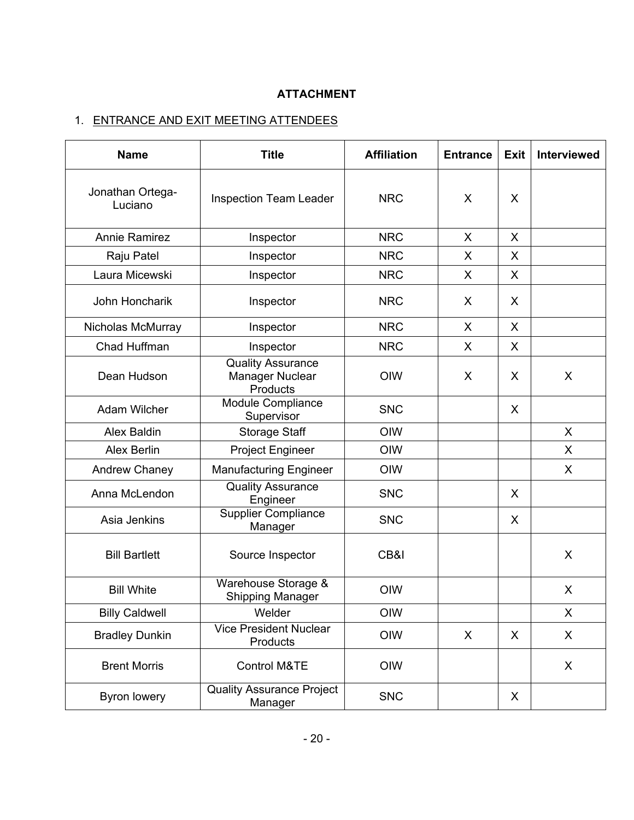# **ATTACHMENT**

# 1. ENTRANCE AND EXIT MEETING ATTENDEES

| <b>Name</b>                 | <b>Title</b>                                            | <b>Affiliation</b> | <b>Entrance</b> | <b>Exit</b> | <b>Interviewed</b> |
|-----------------------------|---------------------------------------------------------|--------------------|-----------------|-------------|--------------------|
| Jonathan Ortega-<br>Luciano | <b>Inspection Team Leader</b>                           | <b>NRC</b>         | X               | X           |                    |
| <b>Annie Ramirez</b>        | Inspector                                               | <b>NRC</b>         | X               | X           |                    |
| Raju Patel                  | Inspector                                               | <b>NRC</b>         | X               | X           |                    |
| Laura Micewski              | Inspector                                               | <b>NRC</b>         | X               | X           |                    |
| John Honcharik              | Inspector                                               | <b>NRC</b>         | X               | X           |                    |
| Nicholas McMurray           | Inspector                                               | <b>NRC</b>         | X               | X           |                    |
| Chad Huffman                | Inspector                                               | <b>NRC</b>         | X               | X           |                    |
| Dean Hudson                 | <b>Quality Assurance</b><br>Manager Nuclear<br>Products | OIW<br>X           |                 | X           | X                  |
| Adam Wilcher                | Module Compliance<br>Supervisor                         | <b>SNC</b>         |                 | X           |                    |
| Alex Baldin                 | Storage Staff                                           | OIW                |                 |             | X                  |
| <b>Alex Berlin</b>          | <b>Project Engineer</b>                                 | OIW                |                 |             | X                  |
| Andrew Chaney               | <b>Manufacturing Engineer</b>                           | OIW                |                 |             | X                  |
| Anna McLendon               | <b>Quality Assurance</b><br>Engineer                    | <b>SNC</b>         |                 | X           |                    |
| Asia Jenkins                | <b>Supplier Compliance</b><br>Manager                   | <b>SNC</b>         |                 | X           |                    |
| <b>Bill Bartlett</b>        | Source Inspector                                        | CB&I               |                 |             | X                  |
| <b>Bill White</b>           | Warehouse Storage &<br><b>Shipping Manager</b>          |                    |                 |             | X                  |
| <b>Billy Caldwell</b>       | Welder                                                  | OIW                |                 |             | X                  |
| <b>Bradley Dunkin</b>       | <b>Vice President Nuclear</b><br>Products               | OIW                | X               | X           | X                  |
| <b>Brent Morris</b>         | Control M&TE                                            | OIW                |                 |             | $\mathsf{X}$       |
| <b>Byron lowery</b>         | <b>Quality Assurance Project</b><br>Manager             | <b>SNC</b>         |                 | X           |                    |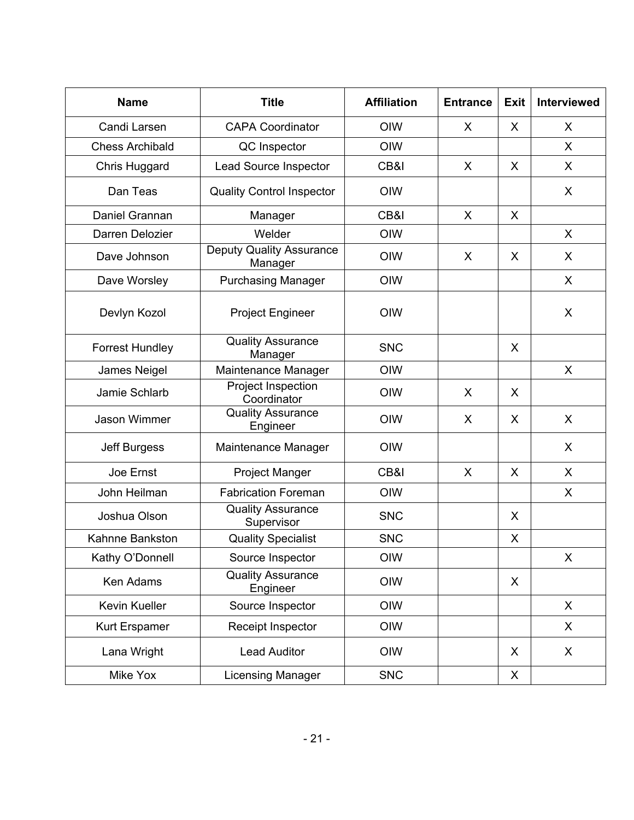| <b>Name</b>                          | <b>Title</b>                               | <b>Affiliation</b> | <b>Entrance</b> | <b>Exit</b> | <b>Interviewed</b> |
|--------------------------------------|--------------------------------------------|--------------------|-----------------|-------------|--------------------|
| Candi Larsen                         | <b>CAPA Coordinator</b>                    | <b>OIW</b>         | X               | X           | X                  |
| <b>Chess Archibald</b>               | QC Inspector                               | OIW                |                 |             | X                  |
| Chris Huggard                        | Lead Source Inspector                      | CB&I               | X               | X           | X                  |
| Dan Teas                             | <b>Quality Control Inspector</b>           | OIW                |                 |             | X                  |
| Daniel Grannan                       | Manager                                    | CB&I               | X               | X           |                    |
| Darren Delozier                      | Welder                                     | OIW                |                 |             | X                  |
| Dave Johnson                         | <b>Deputy Quality Assurance</b><br>Manager | OIW                | X               | X           | X                  |
| Dave Worsley                         | <b>Purchasing Manager</b>                  | OIW                |                 |             | X                  |
| Devlyn Kozol                         | <b>Project Engineer</b>                    | OIW                |                 |             | X                  |
| <b>Forrest Hundley</b>               | <b>Quality Assurance</b><br>Manager        | <b>SNC</b>         |                 | X           |                    |
| James Neigel                         | Maintenance Manager                        | <b>OIW</b>         |                 |             | $\mathsf{X}$       |
| Jamie Schlarb                        | Project Inspection<br>Coordinator          | OIW                | X               | X           |                    |
| <b>Jason Wimmer</b>                  | <b>Quality Assurance</b><br>Engineer       | OIW                | X               | X           | X                  |
| Jeff Burgess                         | Maintenance Manager                        | OIW                |                 |             | X                  |
| Joe Ernst                            | Project Manger                             | CB&I               | X               | X           | X                  |
| John Heilman                         | <b>Fabrication Foreman</b>                 | OIW                |                 |             | X                  |
| Joshua Olson                         | <b>Quality Assurance</b><br>Supervisor     | <b>SNC</b>         |                 | X           |                    |
| Kahnne Bankston                      | <b>Quality Specialist</b>                  | <b>SNC</b>         |                 | X           |                    |
| Kathy O'Donnell                      | Source Inspector                           | OIW                |                 |             | X                  |
| Ken Adams                            | <b>Quality Assurance</b><br>Engineer       | OIW                |                 | X           |                    |
| Kevin Kueller                        | Source Inspector                           | OIW                |                 |             | X                  |
| Kurt Erspamer                        | Receipt Inspector                          | OIW                |                 |             | X                  |
| Lana Wright                          | <b>Lead Auditor</b>                        | OIW                |                 | X           | X                  |
| Mike Yox<br><b>Licensing Manager</b> |                                            | <b>SNC</b>         |                 | X           |                    |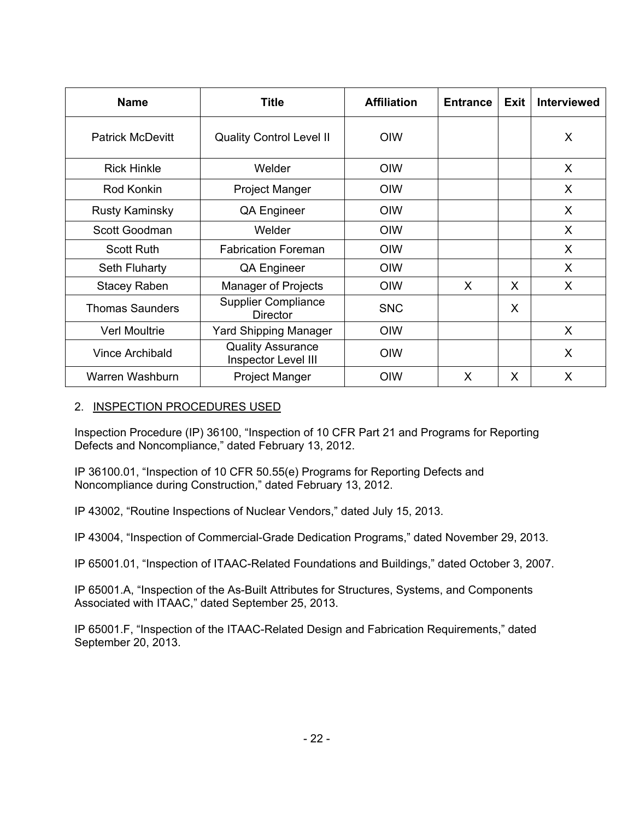| <b>Name</b>             | <b>Title</b>                                    | <b>Affiliation</b> | <b>Entrance</b> | <b>Exit</b> | <b>Interviewed</b> |
|-------------------------|-------------------------------------------------|--------------------|-----------------|-------------|--------------------|
| <b>Patrick McDevitt</b> | <b>Quality Control Level II</b>                 | <b>OIW</b>         |                 |             | X                  |
| <b>Rick Hinkle</b>      | Welder                                          | <b>OIW</b>         |                 |             | X                  |
| Rod Konkin              | <b>Project Manger</b>                           | <b>OIW</b>         |                 |             | X.                 |
| <b>Rusty Kaminsky</b>   | QA Engineer                                     | <b>OIW</b>         |                 |             | X                  |
| Scott Goodman           | Welder                                          | <b>OIW</b>         |                 |             | X                  |
| <b>Scott Ruth</b>       | <b>Fabrication Foreman</b>                      | <b>OIW</b>         |                 |             | $\sf X$            |
| Seth Fluharty           | QA Engineer                                     | OIW                |                 |             | $\mathsf{X}$       |
| <b>Stacey Raben</b>     | <b>Manager of Projects</b>                      | <b>OIW</b>         | X               | X           | X                  |
| <b>Thomas Saunders</b>  | <b>Supplier Compliance</b><br><b>Director</b>   | <b>SNC</b>         |                 | X           |                    |
| <b>Verl Moultrie</b>    | Yard Shipping Manager                           | <b>OIW</b>         |                 |             | X                  |
| <b>Vince Archibald</b>  | <b>Quality Assurance</b><br>Inspector Level III | <b>OIW</b>         |                 |             | X                  |
| Warren Washburn         | <b>Project Manger</b>                           | OIW                | X               | X           | X                  |

### 2. INSPECTION PROCEDURES USED

Inspection Procedure (IP) 36100, "Inspection of 10 CFR Part 21 and Programs for Reporting Defects and Noncompliance," dated February 13, 2012.

IP 36100.01, "Inspection of 10 CFR 50.55(e) Programs for Reporting Defects and Noncompliance during Construction," dated February 13, 2012.

IP 43002, "Routine Inspections of Nuclear Vendors," dated July 15, 2013.

IP 43004, "Inspection of Commercial-Grade Dedication Programs," dated November 29, 2013.

IP 65001.01, "Inspection of ITAAC-Related Foundations and Buildings," dated October 3, 2007.

IP 65001.A, "Inspection of the As-Built Attributes for Structures, Systems, and Components Associated with ITAAC," dated September 25, 2013.

IP 65001.F, "Inspection of the ITAAC-Related Design and Fabrication Requirements," dated September 20, 2013.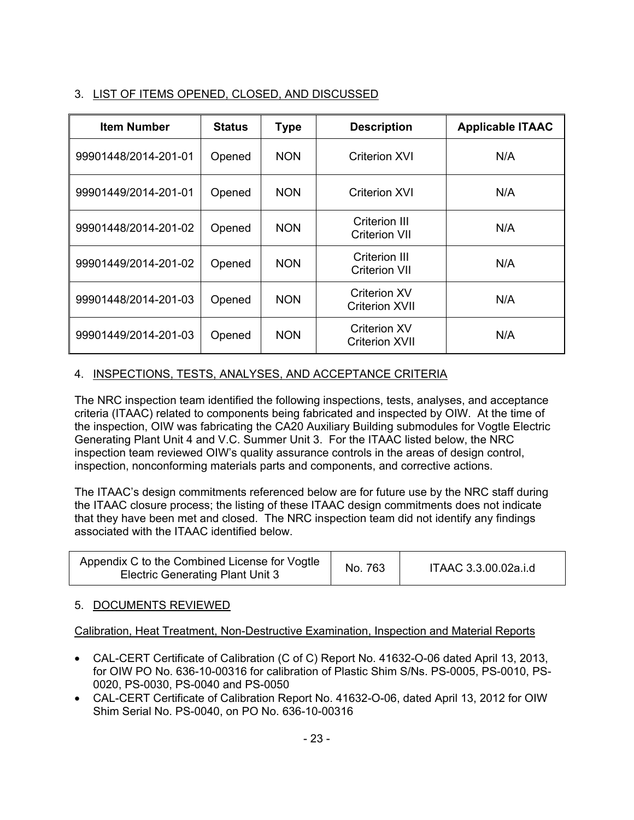# 3. LIST OF ITEMS OPENED, CLOSED, AND DISCUSSED

| <b>Item Number</b>   | <b>Status</b> | <b>Type</b> | <b>Description</b>                           | <b>Applicable ITAAC</b> |
|----------------------|---------------|-------------|----------------------------------------------|-------------------------|
| 99901448/2014-201-01 | Opened        | <b>NON</b>  | Criterion XVI                                | N/A                     |
| 99901449/2014-201-01 | Opened        | <b>NON</b>  | Criterion XVI                                | N/A                     |
| 99901448/2014-201-02 | Opened        | <b>NON</b>  | Criterion III<br><b>Criterion VII</b>        | N/A                     |
| 99901449/2014-201-02 | Opened        | <b>NON</b>  | Criterion III<br>Criterion VII               | N/A                     |
| 99901448/2014-201-03 | Opened        | <b>NON</b>  | Criterion XV<br><b>Criterion XVII</b>        | N/A                     |
| 99901449/2014-201-03 | Opened        | <b>NON</b>  | <b>Criterion XV</b><br><b>Criterion XVII</b> | N/A                     |

# 4. INSPECTIONS, TESTS, ANALYSES, AND ACCEPTANCE CRITERIA

The NRC inspection team identified the following inspections, tests, analyses, and acceptance criteria (ITAAC) related to components being fabricated and inspected by OIW. At the time of the inspection, OIW was fabricating the CA20 Auxiliary Building submodules for Vogtle Electric Generating Plant Unit 4 and V.C. Summer Unit 3. For the ITAAC listed below, the NRC inspection team reviewed OIW's quality assurance controls in the areas of design control, inspection, nonconforming materials parts and components, and corrective actions.

The ITAAC's design commitments referenced below are for future use by the NRC staff during the ITAAC closure process; the listing of these ITAAC design commitments does not indicate that they have been met and closed. The NRC inspection team did not identify any findings associated with the ITAAC identified below.

| Appendix C to the Combined License for Vogtle<br><b>Electric Generating Plant Unit 3</b> | No. 763 | ITAAC 3.3.00.02a.i.d |
|------------------------------------------------------------------------------------------|---------|----------------------|
|------------------------------------------------------------------------------------------|---------|----------------------|

## 5. DOCUMENTS REVIEWED

Calibration, Heat Treatment, Non-Destructive Examination, Inspection and Material Reports

- CAL-CERT Certificate of Calibration (C of C) Report No. 41632-O-06 dated April 13, 2013, for OIW PO No. 636-10-00316 for calibration of Plastic Shim S/Ns. PS-0005, PS-0010, PS-0020, PS-0030, PS-0040 and PS-0050
- CAL-CERT Certificate of Calibration Report No. 41632-O-06, dated April 13, 2012 for OIW Shim Serial No. PS-0040, on PO No. 636-10-00316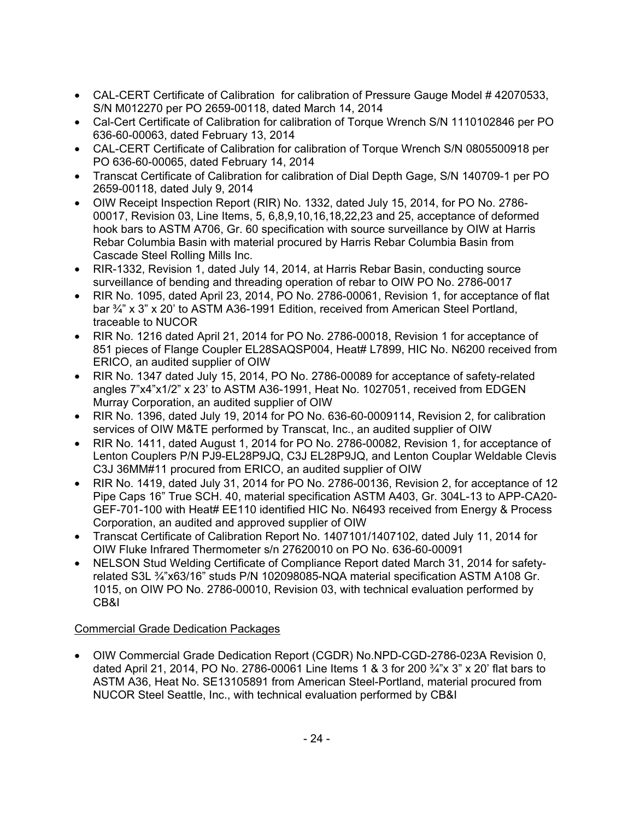- CAL-CERT Certificate of Calibration for calibration of Pressure Gauge Model # 42070533, S/N M012270 per PO 2659-00118, dated March 14, 2014
- Cal-Cert Certificate of Calibration for calibration of Torque Wrench S/N 1110102846 per PO 636-60-00063, dated February 13, 2014
- CAL-CERT Certificate of Calibration for calibration of Torque Wrench S/N 0805500918 per PO 636-60-00065, dated February 14, 2014
- Transcat Certificate of Calibration for calibration of Dial Depth Gage, S/N 140709-1 per PO 2659-00118, dated July 9, 2014
- OIW Receipt Inspection Report (RIR) No. 1332, dated July 15, 2014, for PO No. 2786- 00017, Revision 03, Line Items, 5, 6,8,9,10,16,18,22,23 and 25, acceptance of deformed hook bars to ASTM A706, Gr. 60 specification with source surveillance by OIW at Harris Rebar Columbia Basin with material procured by Harris Rebar Columbia Basin from Cascade Steel Rolling Mills Inc.
- RIR-1332, Revision 1, dated July 14, 2014, at Harris Rebar Basin, conducting source surveillance of bending and threading operation of rebar to OIW PO No. 2786-0017
- RIR No. 1095, dated April 23, 2014, PO No. 2786-00061, Revision 1, for acceptance of flat bar ¾" x 3" x 20' to ASTM A36-1991 Edition, received from American Steel Portland, traceable to NUCOR
- RIR No. 1216 dated April 21, 2014 for PO No. 2786-00018, Revision 1 for acceptance of 851 pieces of Flange Coupler EL28SAQSP004, Heat# L7899, HIC No. N6200 received from ERICO, an audited supplier of OIW
- RIR No. 1347 dated July 15, 2014, PO No. 2786-00089 for acceptance of safety-related angles 7"x4"x1/2" x 23' to ASTM A36-1991, Heat No. 1027051, received from EDGEN Murray Corporation, an audited supplier of OIW
- RIR No. 1396, dated July 19, 2014 for PO No. 636-60-0009114, Revision 2, for calibration services of OIW M&TE performed by Transcat, Inc., an audited supplier of OIW
- RIR No. 1411, dated August 1, 2014 for PO No. 2786-00082, Revision 1, for acceptance of Lenton Couplers P/N PJ9-EL28P9JQ, C3J EL28P9JQ, and Lenton Couplar Weldable Clevis C3J 36MM#11 procured from ERICO, an audited supplier of OIW
- RIR No. 1419, dated July 31, 2014 for PO No. 2786-00136, Revision 2, for acceptance of 12 Pipe Caps 16" True SCH. 40, material specification ASTM A403, Gr. 304L-13 to APP-CA20- GEF-701-100 with Heat# EE110 identified HIC No. N6493 received from Energy & Process Corporation, an audited and approved supplier of OIW
- Transcat Certificate of Calibration Report No. 1407101/1407102, dated July 11, 2014 for OIW Fluke Infrared Thermometer s/n 27620010 on PO No. 636-60-00091
- NELSON Stud Welding Certificate of Compliance Report dated March 31, 2014 for safetyrelated S3L ¾"x63/16" studs P/N 102098085-NQA material specification ASTM A108 Gr. 1015, on OIW PO No. 2786-00010, Revision 03, with technical evaluation performed by CB&I

# Commercial Grade Dedication Packages

• OIW Commercial Grade Dedication Report (CGDR) No.NPD-CGD-2786-023A Revision 0, dated April 21, 2014, PO No. 2786-00061 Line Items 1 & 3 for 200 ¾"x 3" x 20' flat bars to ASTM A36, Heat No. SE13105891 from American Steel-Portland, material procured from NUCOR Steel Seattle, Inc., with technical evaluation performed by CB&I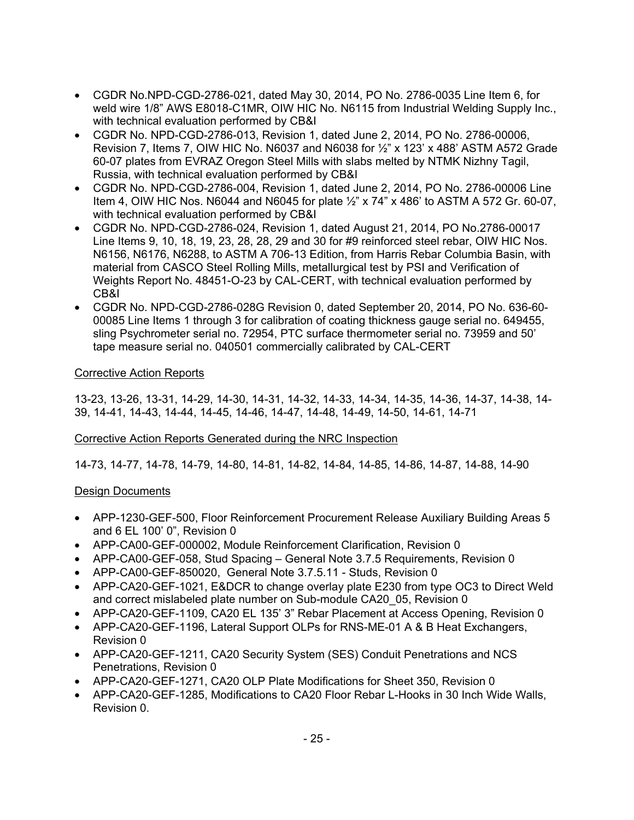- CGDR No.NPD-CGD-2786-021, dated May 30, 2014, PO No. 2786-0035 Line Item 6, for weld wire 1/8" AWS E8018-C1MR, OIW HIC No. N6115 from Industrial Welding Supply Inc., with technical evaluation performed by CB&I
- CGDR No. NPD-CGD-2786-013, Revision 1, dated June 2, 2014, PO No. 2786-00006, Revision 7, Items 7, OIW HIC No. N6037 and N6038 for ½" x 123' x 488' ASTM A572 Grade 60-07 plates from EVRAZ Oregon Steel Mills with slabs melted by NTMK Nizhny Tagil, Russia, with technical evaluation performed by CB&I
- CGDR No. NPD-CGD-2786-004, Revision 1, dated June 2, 2014, PO No. 2786-00006 Line Item 4, OIW HIC Nos. N6044 and N6045 for plate ½" x 74" x 486' to ASTM A 572 Gr. 60-07, with technical evaluation performed by CB&I
- CGDR No. NPD-CGD-2786-024, Revision 1, dated August 21, 2014, PO No.2786-00017 Line Items 9, 10, 18, 19, 23, 28, 28, 29 and 30 for #9 reinforced steel rebar, OIW HIC Nos. N6156, N6176, N6288, to ASTM A 706-13 Edition, from Harris Rebar Columbia Basin, with material from CASCO Steel Rolling Mills, metallurgical test by PSI and Verification of Weights Report No. 48451-O-23 by CAL-CERT, with technical evaluation performed by CB&I
- CGDR No. NPD-CGD-2786-028G Revision 0, dated September 20, 2014, PO No. 636-60- 00085 Line Items 1 through 3 for calibration of coating thickness gauge serial no. 649455, sling Psychrometer serial no. 72954, PTC surface thermometer serial no. 73959 and 50' tape measure serial no. 040501 commercially calibrated by CAL-CERT

#### Corrective Action Reports

13-23, 13-26, 13-31, 14-29, 14-30, 14-31, 14-32, 14-33, 14-34, 14-35, 14-36, 14-37, 14-38, 14- 39, 14-41, 14-43, 14-44, 14-45, 14-46, 14-47, 14-48, 14-49, 14-50, 14-61, 14-71

#### Corrective Action Reports Generated during the NRC Inspection

14-73, 14-77, 14-78, 14-79, 14-80, 14-81, 14-82, 14-84, 14-85, 14-86, 14-87, 14-88, 14-90

#### Design Documents

- APP-1230-GEF-500, Floor Reinforcement Procurement Release Auxiliary Building Areas 5 and 6 EL 100' 0", Revision 0
- APP-CA00-GEF-000002, Module Reinforcement Clarification, Revision 0
- APP-CA00-GEF-058, Stud Spacing General Note 3.7.5 Requirements, Revision 0
- APP-CA00-GEF-850020, General Note 3.7.5.11 Studs, Revision 0
- APP-CA20-GEF-1021, E&DCR to change overlay plate E230 from type OC3 to Direct Weld and correct mislabeled plate number on Sub-module CA20\_05, Revision 0
- APP-CA20-GEF-1109, CA20 EL 135' 3" Rebar Placement at Access Opening, Revision 0
- APP-CA20-GEF-1196, Lateral Support OLPs for RNS-ME-01 A & B Heat Exchangers, Revision 0
- APP-CA20-GEF-1211, CA20 Security System (SES) Conduit Penetrations and NCS Penetrations, Revision 0
- APP-CA20-GEF-1271, CA20 OLP Plate Modifications for Sheet 350, Revision 0
- APP-CA20-GEF-1285, Modifications to CA20 Floor Rebar L-Hooks in 30 Inch Wide Walls, Revision 0.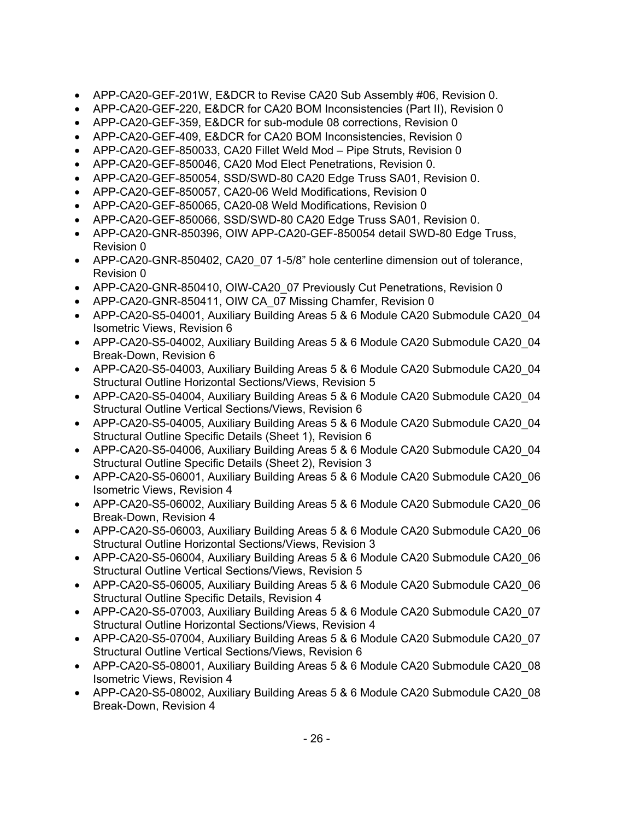- APP-CA20-GEF-201W, E&DCR to Revise CA20 Sub Assembly #06, Revision 0.
- APP-CA20-GEF-220, E&DCR for CA20 BOM Inconsistencies (Part II), Revision 0
- APP-CA20-GEF-359, E&DCR for sub-module 08 corrections, Revision 0
- APP-CA20-GEF-409, E&DCR for CA20 BOM Inconsistencies, Revision 0
- APP-CA20-GEF-850033, CA20 Fillet Weld Mod Pipe Struts, Revision 0
- APP-CA20-GEF-850046, CA20 Mod Elect Penetrations, Revision 0.
- APP-CA20-GEF-850054, SSD/SWD-80 CA20 Edge Truss SA01, Revision 0.
- APP-CA20-GEF-850057, CA20-06 Weld Modifications, Revision 0
- APP-CA20-GEF-850065, CA20-08 Weld Modifications, Revision 0
- APP-CA20-GEF-850066, SSD/SWD-80 CA20 Edge Truss SA01, Revision 0.
- APP-CA20-GNR-850396, OIW APP-CA20-GEF-850054 detail SWD-80 Edge Truss, Revision 0
- APP-CA20-GNR-850402, CA20\_07 1-5/8" hole centerline dimension out of tolerance, Revision 0
- APP-CA20-GNR-850410, OIW-CA20 07 Previously Cut Penetrations, Revision 0
- APP-CA20-GNR-850411, OIW CA 07 Missing Chamfer, Revision 0
- APP-CA20-S5-04001, Auxiliary Building Areas 5 & 6 Module CA20 Submodule CA20 04 Isometric Views, Revision 6
- APP-CA20-S5-04002, Auxiliary Building Areas 5 & 6 Module CA20 Submodule CA20 04 Break-Down, Revision 6
- APP-CA20-S5-04003, Auxiliary Building Areas 5 & 6 Module CA20 Submodule CA20 04 Structural Outline Horizontal Sections/Views, Revision 5
- APP-CA20-S5-04004, Auxiliary Building Areas 5 & 6 Module CA20 Submodule CA20 04 Structural Outline Vertical Sections/Views, Revision 6
- APP-CA20-S5-04005, Auxiliary Building Areas 5 & 6 Module CA20 Submodule CA20 04 Structural Outline Specific Details (Sheet 1), Revision 6
- APP-CA20-S5-04006, Auxiliary Building Areas 5 & 6 Module CA20 Submodule CA20 04 Structural Outline Specific Details (Sheet 2), Revision 3
- APP-CA20-S5-06001, Auxiliary Building Areas 5 & 6 Module CA20 Submodule CA20 06 Isometric Views, Revision 4
- APP-CA20-S5-06002, Auxiliary Building Areas 5 & 6 Module CA20 Submodule CA20 06 Break-Down, Revision 4
- APP-CA20-S5-06003, Auxiliary Building Areas 5 & 6 Module CA20 Submodule CA20 06 Structural Outline Horizontal Sections/Views, Revision 3
- APP-CA20-S5-06004, Auxiliary Building Areas 5 & 6 Module CA20 Submodule CA20 06 Structural Outline Vertical Sections/Views, Revision 5
- APP-CA20-S5-06005, Auxiliary Building Areas 5 & 6 Module CA20 Submodule CA20 06 Structural Outline Specific Details, Revision 4
- APP-CA20-S5-07003, Auxiliary Building Areas 5 & 6 Module CA20 Submodule CA20 07 Structural Outline Horizontal Sections/Views, Revision 4
- APP-CA20-S5-07004, Auxiliary Building Areas 5 & 6 Module CA20 Submodule CA20 07 Structural Outline Vertical Sections/Views, Revision 6
- APP-CA20-S5-08001, Auxiliary Building Areas 5 & 6 Module CA20 Submodule CA20 08 Isometric Views, Revision 4
- APP-CA20-S5-08002, Auxiliary Building Areas 5 & 6 Module CA20 Submodule CA20 08 Break-Down, Revision 4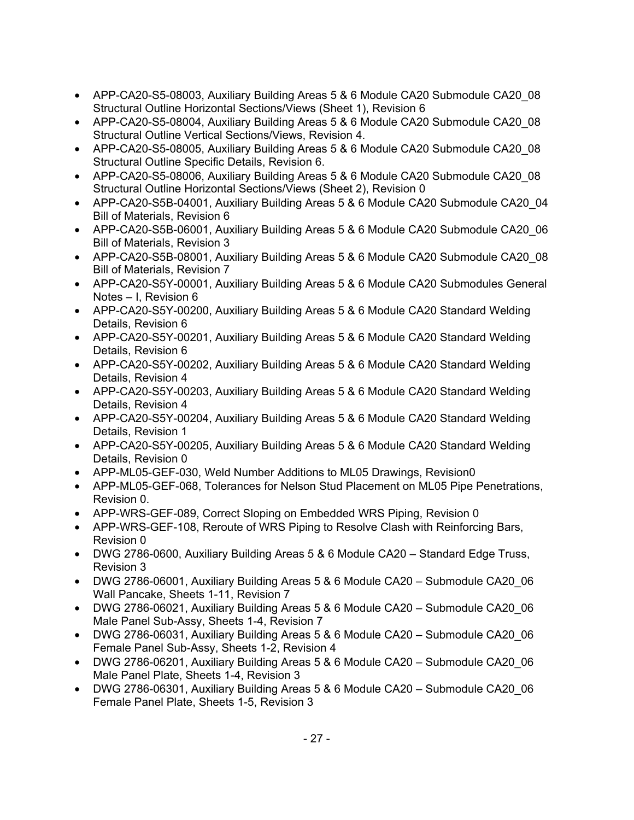- APP-CA20-S5-08003, Auxiliary Building Areas 5 & 6 Module CA20 Submodule CA20\_08 Structural Outline Horizontal Sections/Views (Sheet 1), Revision 6
- APP-CA20-S5-08004, Auxiliary Building Areas 5 & 6 Module CA20 Submodule CA20 08 Structural Outline Vertical Sections/Views, Revision 4.
- APP-CA20-S5-08005, Auxiliary Building Areas 5 & 6 Module CA20 Submodule CA20 08 Structural Outline Specific Details, Revision 6.
- APP-CA20-S5-08006, Auxiliary Building Areas 5 & 6 Module CA20 Submodule CA20\_08 Structural Outline Horizontal Sections/Views (Sheet 2), Revision 0
- APP-CA20-S5B-04001, Auxiliary Building Areas 5 & 6 Module CA20 Submodule CA20 04 Bill of Materials, Revision 6
- APP-CA20-S5B-06001, Auxiliary Building Areas 5 & 6 Module CA20 Submodule CA20\_06 Bill of Materials, Revision 3
- APP-CA20-S5B-08001, Auxiliary Building Areas 5 & 6 Module CA20 Submodule CA20\_08 Bill of Materials, Revision 7
- APP-CA20-S5Y-00001, Auxiliary Building Areas 5 & 6 Module CA20 Submodules General Notes – I, Revision 6
- APP-CA20-S5Y-00200, Auxiliary Building Areas 5 & 6 Module CA20 Standard Welding Details, Revision 6
- APP-CA20-S5Y-00201, Auxiliary Building Areas 5 & 6 Module CA20 Standard Welding Details, Revision 6
- APP-CA20-S5Y-00202, Auxiliary Building Areas 5 & 6 Module CA20 Standard Welding Details, Revision 4
- APP-CA20-S5Y-00203, Auxiliary Building Areas 5 & 6 Module CA20 Standard Welding Details, Revision 4
- APP-CA20-S5Y-00204, Auxiliary Building Areas 5 & 6 Module CA20 Standard Welding Details, Revision 1
- APP-CA20-S5Y-00205, Auxiliary Building Areas 5 & 6 Module CA20 Standard Welding Details, Revision 0
- APP-ML05-GEF-030, Weld Number Additions to ML05 Drawings, Revision0
- APP-ML05-GEF-068, Tolerances for Nelson Stud Placement on ML05 Pipe Penetrations, Revision 0.
- APP-WRS-GEF-089, Correct Sloping on Embedded WRS Piping, Revision 0
- APP-WRS-GEF-108, Reroute of WRS Piping to Resolve Clash with Reinforcing Bars, Revision 0
- DWG 2786-0600, Auxiliary Building Areas 5 & 6 Module CA20 Standard Edge Truss, Revision 3
- DWG 2786-06001, Auxiliary Building Areas 5 & 6 Module CA20 Submodule CA20 06 Wall Pancake, Sheets 1-11, Revision 7
- DWG 2786-06021, Auxiliary Building Areas 5 & 6 Module CA20 Submodule CA20\_06 Male Panel Sub-Assy, Sheets 1-4, Revision 7
- DWG 2786-06031, Auxiliary Building Areas 5 & 6 Module CA20 Submodule CA20\_06 Female Panel Sub-Assy, Sheets 1-2, Revision 4
- DWG 2786-06201, Auxiliary Building Areas 5 & 6 Module CA20 Submodule CA20 06 Male Panel Plate, Sheets 1-4, Revision 3
- DWG 2786-06301, Auxiliary Building Areas 5 & 6 Module CA20 Submodule CA20\_06 Female Panel Plate, Sheets 1-5, Revision 3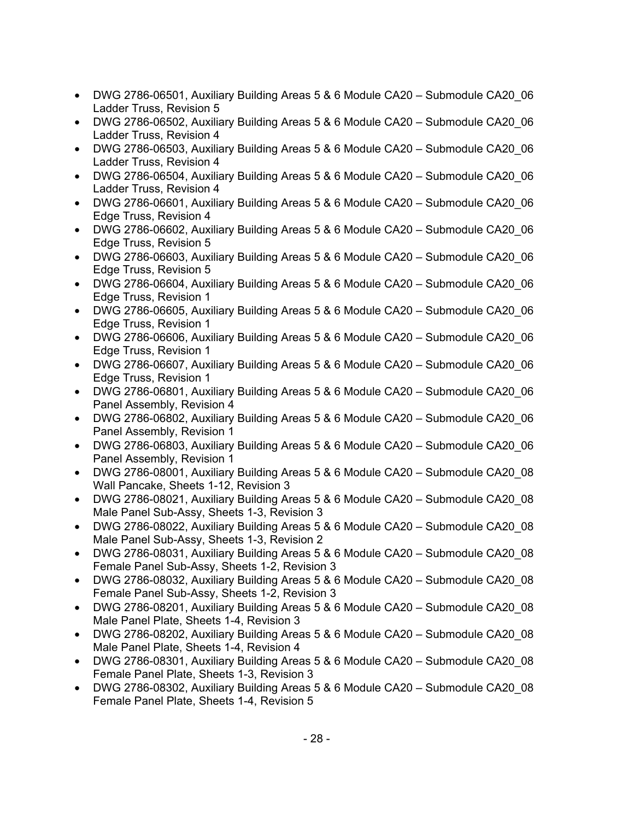- DWG 2786-06501, Auxiliary Building Areas 5 & 6 Module CA20 Submodule CA20\_06 Ladder Truss, Revision 5
- DWG 2786-06502, Auxiliary Building Areas 5 & 6 Module CA20 Submodule CA20 06 Ladder Truss, Revision 4
- DWG 2786-06503, Auxiliary Building Areas 5 & 6 Module CA20 Submodule CA20 06 Ladder Truss, Revision 4
- DWG 2786-06504, Auxiliary Building Areas 5 & 6 Module CA20 Submodule CA20\_06 Ladder Truss, Revision 4
- DWG 2786-06601, Auxiliary Building Areas 5 & 6 Module CA20 Submodule CA20 06 Edge Truss, Revision 4
- DWG 2786-06602, Auxiliary Building Areas 5 & 6 Module CA20 Submodule CA20 06 Edge Truss, Revision 5
- DWG 2786-06603, Auxiliary Building Areas 5 & 6 Module CA20 Submodule CA20 06 Edge Truss, Revision 5
- DWG 2786-06604, Auxiliary Building Areas 5 & 6 Module CA20 Submodule CA20\_06 Edge Truss, Revision 1
- DWG 2786-06605, Auxiliary Building Areas 5 & 6 Module CA20 Submodule CA20\_06 Edge Truss, Revision 1
- DWG 2786-06606, Auxiliary Building Areas 5 & 6 Module CA20 Submodule CA20 06 Edge Truss, Revision 1
- DWG 2786-06607, Auxiliary Building Areas 5 & 6 Module CA20 Submodule CA20 06 Edge Truss, Revision 1
- DWG 2786-06801, Auxiliary Building Areas 5 & 6 Module CA20 Submodule CA20 06 Panel Assembly, Revision 4
- DWG 2786-06802, Auxiliary Building Areas 5 & 6 Module CA20 Submodule CA20 06 Panel Assembly, Revision 1
- DWG 2786-06803, Auxiliary Building Areas 5 & 6 Module CA20 Submodule CA20 06 Panel Assembly, Revision 1
- DWG 2786-08001, Auxiliary Building Areas 5 & 6 Module CA20 Submodule CA20 08 Wall Pancake, Sheets 1-12, Revision 3
- DWG 2786-08021, Auxiliary Building Areas 5 & 6 Module CA20 Submodule CA20 08 Male Panel Sub-Assy, Sheets 1-3, Revision 3
- DWG 2786-08022, Auxiliary Building Areas 5 & 6 Module CA20 Submodule CA20 08 Male Panel Sub-Assy, Sheets 1-3, Revision 2
- DWG 2786-08031, Auxiliary Building Areas 5 & 6 Module CA20 Submodule CA20 08 Female Panel Sub-Assy, Sheets 1-2, Revision 3
- DWG 2786-08032, Auxiliary Building Areas 5 & 6 Module CA20 Submodule CA20 08 Female Panel Sub-Assy, Sheets 1-2, Revision 3
- DWG 2786-08201, Auxiliary Building Areas 5 & 6 Module CA20 Submodule CA20\_08 Male Panel Plate, Sheets 1-4, Revision 3
- DWG 2786-08202, Auxiliary Building Areas 5 & 6 Module CA20 Submodule CA20 08 Male Panel Plate, Sheets 1-4, Revision 4
- DWG 2786-08301, Auxiliary Building Areas 5 & 6 Module CA20 Submodule CA20 08 Female Panel Plate, Sheets 1-3, Revision 3
- DWG 2786-08302, Auxiliary Building Areas 5 & 6 Module CA20 Submodule CA20\_08 Female Panel Plate, Sheets 1-4, Revision 5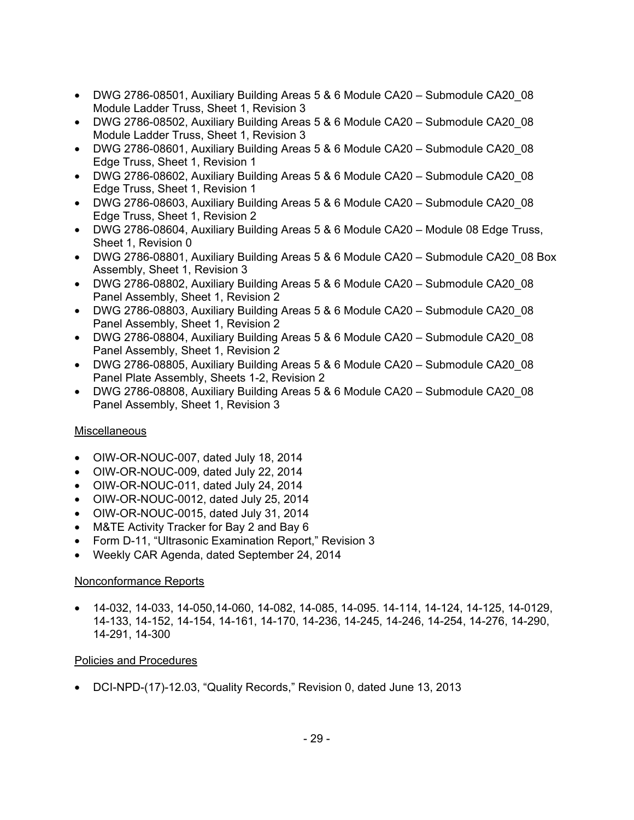- DWG 2786-08501, Auxiliary Building Areas 5 & 6 Module CA20 Submodule CA20 08 Module Ladder Truss, Sheet 1, Revision 3
- DWG 2786-08502, Auxiliary Building Areas 5 & 6 Module CA20 Submodule CA20 08 Module Ladder Truss, Sheet 1, Revision 3
- DWG 2786-08601, Auxiliary Building Areas 5 & 6 Module CA20 Submodule CA20 08 Edge Truss, Sheet 1, Revision 1
- DWG 2786-08602, Auxiliary Building Areas 5 & 6 Module CA20 Submodule CA20\_08 Edge Truss, Sheet 1, Revision 1
- DWG 2786-08603, Auxiliary Building Areas 5 & 6 Module CA20 Submodule CA20 08 Edge Truss, Sheet 1, Revision 2
- DWG 2786-08604, Auxiliary Building Areas 5 & 6 Module CA20 Module 08 Edge Truss, Sheet 1, Revision 0
- DWG 2786-08801, Auxiliary Building Areas 5 & 6 Module CA20 Submodule CA20 08 Box Assembly, Sheet 1, Revision 3
- DWG 2786-08802, Auxiliary Building Areas 5 & 6 Module CA20 Submodule CA20\_08 Panel Assembly, Sheet 1, Revision 2
- DWG 2786-08803, Auxiliary Building Areas 5 & 6 Module CA20 Submodule CA20\_08 Panel Assembly, Sheet 1, Revision 2
- DWG 2786-08804, Auxiliary Building Areas 5 & 6 Module CA20 Submodule CA20\_08 Panel Assembly, Sheet 1, Revision 2
- DWG 2786-08805, Auxiliary Building Areas 5 & 6 Module CA20 Submodule CA20\_08 Panel Plate Assembly, Sheets 1-2, Revision 2
- DWG 2786-08808, Auxiliary Building Areas 5 & 6 Module CA20 Submodule CA20\_08 Panel Assembly, Sheet 1, Revision 3

## **Miscellaneous**

- OIW-OR-NOUC-007, dated July 18, 2014
- OIW-OR-NOUC-009, dated July 22, 2014
- OIW-OR-NOUC-011, dated July 24, 2014
- OIW-OR-NOUC-0012, dated July 25, 2014
- OIW-OR-NOUC-0015, dated July 31, 2014
- M&TE Activity Tracker for Bay 2 and Bay 6
- Form D-11, "Ultrasonic Examination Report," Revision 3
- Weekly CAR Agenda, dated September 24, 2014

## Nonconformance Reports

• 14-032, 14-033, 14-050,14-060, 14-082, 14-085, 14-095. 14-114, 14-124, 14-125, 14-0129, 14-133, 14-152, 14-154, 14-161, 14-170, 14-236, 14-245, 14-246, 14-254, 14-276, 14-290, 14-291, 14-300

## Policies and Procedures

• DCI-NPD-(17)-12.03, "Quality Records," Revision 0, dated June 13, 2013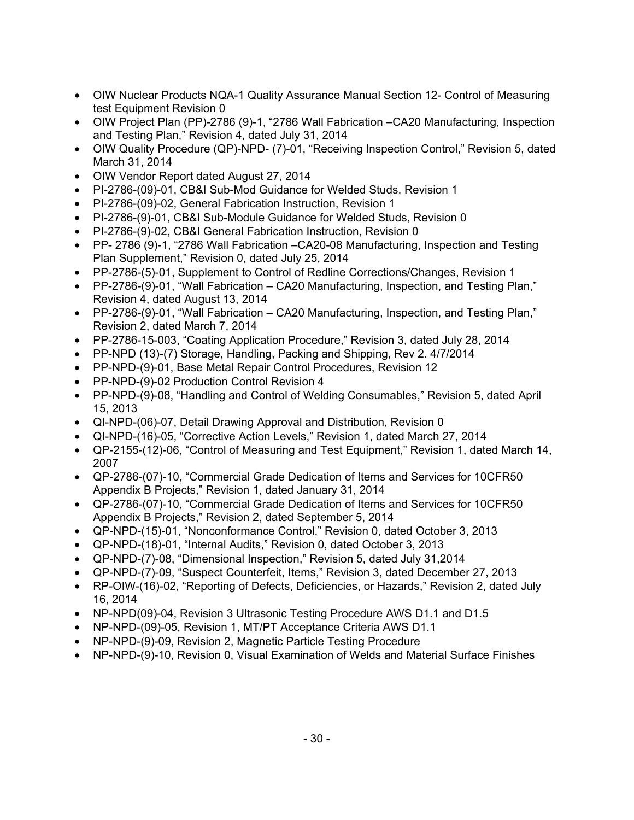- OIW Nuclear Products NQA-1 Quality Assurance Manual Section 12- Control of Measuring test Equipment Revision 0
- OIW Project Plan (PP)-2786 (9)-1, "2786 Wall Fabrication –CA20 Manufacturing, Inspection and Testing Plan," Revision 4, dated July 31, 2014
- OIW Quality Procedure (QP)-NPD- (7)-01, "Receiving Inspection Control," Revision 5, dated March 31, 2014
- OIW Vendor Report dated August 27, 2014
- PI-2786-(09)-01, CB&I Sub-Mod Guidance for Welded Studs, Revision 1
- PI-2786-(09)-02, General Fabrication Instruction, Revision 1
- PI-2786-(9)-01, CB&I Sub-Module Guidance for Welded Studs, Revision 0
- PI-2786-(9)-02, CB&I General Fabrication Instruction, Revision 0
- PP- 2786 (9)-1, "2786 Wall Fabrication –CA20-08 Manufacturing, Inspection and Testing Plan Supplement," Revision 0, dated July 25, 2014
- PP-2786-(5)-01, Supplement to Control of Redline Corrections/Changes, Revision 1
- PP-2786-(9)-01, "Wall Fabrication CA20 Manufacturing, Inspection, and Testing Plan," Revision 4, dated August 13, 2014
- PP-2786-(9)-01, "Wall Fabrication CA20 Manufacturing, Inspection, and Testing Plan," Revision 2, dated March 7, 2014
- PP-2786-15-003, "Coating Application Procedure," Revision 3, dated July 28, 2014
- PP-NPD (13)-(7) Storage, Handling, Packing and Shipping, Rev 2. 4/7/2014
- PP-NPD-(9)-01, Base Metal Repair Control Procedures, Revision 12
- PP-NPD-(9)-02 Production Control Revision 4
- PP-NPD-(9)-08, "Handling and Control of Welding Consumables," Revision 5, dated April 15, 2013
- QI-NPD-(06)-07, Detail Drawing Approval and Distribution, Revision 0
- QI-NPD-(16)-05, "Corrective Action Levels," Revision 1, dated March 27, 2014
- QP-2155-(12)-06, "Control of Measuring and Test Equipment," Revision 1, dated March 14, 2007
- QP-2786-(07)-10, "Commercial Grade Dedication of Items and Services for 10CFR50 Appendix B Projects," Revision 1, dated January 31, 2014
- QP-2786-(07)-10, "Commercial Grade Dedication of Items and Services for 10CFR50 Appendix B Projects," Revision 2, dated September 5, 2014
- QP-NPD-(15)-01, "Nonconformance Control," Revision 0, dated October 3, 2013
- QP-NPD-(18)-01, "Internal Audits," Revision 0, dated October 3, 2013
- QP-NPD-(7)-08, "Dimensional Inspection," Revision 5, dated July 31,2014
- QP-NPD-(7)-09, "Suspect Counterfeit, Items," Revision 3, dated December 27, 2013
- RP-OIW-(16)-02, "Reporting of Defects, Deficiencies, or Hazards," Revision 2, dated July 16, 2014
- NP-NPD(09)-04, Revision 3 Ultrasonic Testing Procedure AWS D1.1 and D1.5
- NP-NPD-(09)-05, Revision 1, MT/PT Acceptance Criteria AWS D1.1
- NP-NPD-(9)-09, Revision 2, Magnetic Particle Testing Procedure
- NP-NPD-(9)-10, Revision 0, Visual Examination of Welds and Material Surface Finishes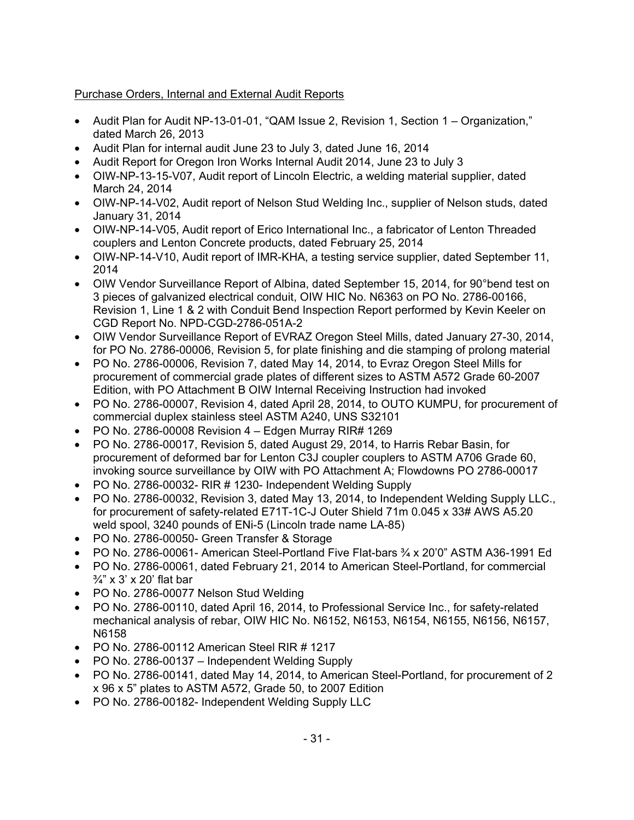## Purchase Orders, Internal and External Audit Reports

- Audit Plan for Audit NP-13-01-01, "QAM Issue 2, Revision 1, Section 1 Organization," dated March 26, 2013
- Audit Plan for internal audit June 23 to July 3, dated June 16, 2014
- Audit Report for Oregon Iron Works Internal Audit 2014, June 23 to July 3
- OIW-NP-13-15-V07, Audit report of Lincoln Electric, a welding material supplier, dated March 24, 2014
- OIW-NP-14-V02, Audit report of Nelson Stud Welding Inc., supplier of Nelson studs, dated January 31, 2014
- OIW-NP-14-V05, Audit report of Erico International Inc., a fabricator of Lenton Threaded couplers and Lenton Concrete products, dated February 25, 2014
- OIW-NP-14-V10, Audit report of IMR-KHA, a testing service supplier, dated September 11, 2014
- OIW Vendor Surveillance Report of Albina, dated September 15, 2014, for 90°bend test on 3 pieces of galvanized electrical conduit, OIW HIC No. N6363 on PO No. 2786-00166, Revision 1, Line 1 & 2 with Conduit Bend Inspection Report performed by Kevin Keeler on CGD Report No. NPD-CGD-2786-051A-2
- OIW Vendor Surveillance Report of EVRAZ Oregon Steel Mills, dated January 27-30, 2014, for PO No. 2786-00006, Revision 5, for plate finishing and die stamping of prolong material
- PO No. 2786-00006, Revision 7, dated May 14, 2014, to Evraz Oregon Steel Mills for procurement of commercial grade plates of different sizes to ASTM A572 Grade 60-2007 Edition, with PO Attachment B OIW Internal Receiving Instruction had invoked
- PO No. 2786-00007, Revision 4, dated April 28, 2014, to OUTO KUMPU, for procurement of commercial duplex stainless steel ASTM A240, UNS S32101
- PO No. 2786-00008 Revision  $4 -$  Edgen Murray RIR# 1269
- PO No. 2786-00017, Revision 5, dated August 29, 2014, to Harris Rebar Basin, for procurement of deformed bar for Lenton C3J coupler couplers to ASTM A706 Grade 60, invoking source surveillance by OIW with PO Attachment A; Flowdowns PO 2786-00017
- PO No. 2786-00032- RIR # 1230- Independent Welding Supply
- PO No. 2786-00032, Revision 3, dated May 13, 2014, to Independent Welding Supply LLC., for procurement of safety-related E71T-1C-J Outer Shield 71m 0.045 x 33# AWS A5.20 weld spool, 3240 pounds of ENi-5 (Lincoln trade name LA-85)
- PO No. 2786-00050- Green Transfer & Storage
- PO No. 2786-00061- American Steel-Portland Five Flat-bars  $\frac{3}{4}$  x 20'0" ASTM A36-1991 Ed
- PO No. 2786-00061, dated February 21, 2014 to American Steel-Portland, for commercial  $\frac{3}{4}$ " x 3' x 20' flat bar
- PO No. 2786-00077 Nelson Stud Welding
- PO No. 2786-00110, dated April 16, 2014, to Professional Service Inc., for safety-related mechanical analysis of rebar, OIW HIC No. N6152, N6153, N6154, N6155, N6156, N6157, N6158
- PO No. 2786-00112 American Steel RIR # 1217
- PO No. 2786-00137 Independent Welding Supply
- PO No. 2786-00141, dated May 14, 2014, to American Steel-Portland, for procurement of 2 x 96 x 5" plates to ASTM A572, Grade 50, to 2007 Edition
- PO No. 2786-00182- Independent Welding Supply LLC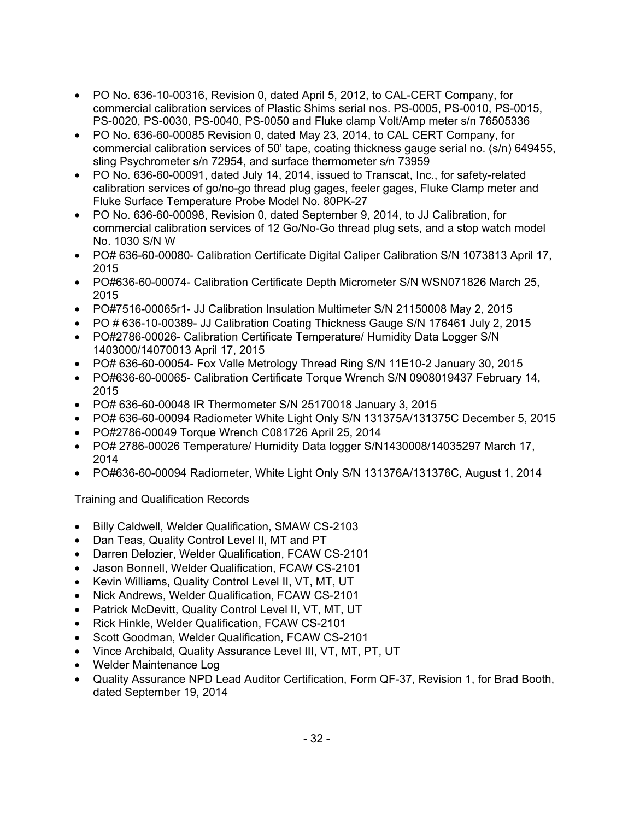- PO No. 636-10-00316, Revision 0, dated April 5, 2012, to CAL-CERT Company, for commercial calibration services of Plastic Shims serial nos. PS-0005, PS-0010, PS-0015, PS-0020, PS-0030, PS-0040, PS-0050 and Fluke clamp Volt/Amp meter s/n 76505336
- PO No. 636-60-00085 Revision 0, dated May 23, 2014, to CAL CERT Company, for commercial calibration services of 50' tape, coating thickness gauge serial no. (s/n) 649455, sling Psychrometer s/n 72954, and surface thermometer s/n 73959
- PO No. 636-60-00091, dated July 14, 2014, issued to Transcat, Inc., for safety-related calibration services of go/no-go thread plug gages, feeler gages, Fluke Clamp meter and Fluke Surface Temperature Probe Model No. 80PK-27
- PO No. 636-60-00098, Revision 0, dated September 9, 2014, to JJ Calibration, for commercial calibration services of 12 Go/No-Go thread plug sets, and a stop watch model No. 1030 S/N W
- PO# 636-60-00080- Calibration Certificate Digital Caliper Calibration S/N 1073813 April 17, 2015
- PO#636-60-00074- Calibration Certificate Depth Micrometer S/N WSN071826 March 25, 2015
- PO#7516-00065r1- JJ Calibration Insulation Multimeter S/N 21150008 May 2, 2015
- PO # 636-10-00389- JJ Calibration Coating Thickness Gauge S/N 176461 July 2, 2015
- PO#2786-00026- Calibration Certificate Temperature/ Humidity Data Logger S/N 1403000/14070013 April 17, 2015
- PO# 636-60-00054- Fox Valle Metrology Thread Ring S/N 11E10-2 January 30, 2015
- PO#636-60-00065- Calibration Certificate Torque Wrench S/N 0908019437 February 14, 2015
- PO# 636-60-00048 IR Thermometer S/N 25170018 January 3, 2015
- PO# 636-60-00094 Radiometer White Light Only S/N 131375A/131375C December 5, 2015
- PO#2786-00049 Torque Wrench C081726 April 25, 2014
- PO# 2786-00026 Temperature/ Humidity Data logger S/N1430008/14035297 March 17, 2014
- PO#636-60-00094 Radiometer, White Light Only S/N 131376A/131376C, August 1, 2014

## Training and Qualification Records

- Billy Caldwell, Welder Qualification, SMAW CS-2103
- Dan Teas, Quality Control Level II, MT and PT
- Darren Delozier, Welder Qualification, FCAW CS-2101
- Jason Bonnell, Welder Qualification, FCAW CS-2101
- Kevin Williams, Quality Control Level II, VT, MT, UT
- Nick Andrews, Welder Qualification, FCAW CS-2101
- Patrick McDevitt, Quality Control Level II, VT, MT, UT
- Rick Hinkle, Welder Qualification, FCAW CS-2101
- Scott Goodman, Welder Qualification, FCAW CS-2101
- Vince Archibald, Quality Assurance Level III, VT, MT, PT, UT
- Welder Maintenance Log
- Quality Assurance NPD Lead Auditor Certification, Form QF-37, Revision 1, for Brad Booth, dated September 19, 2014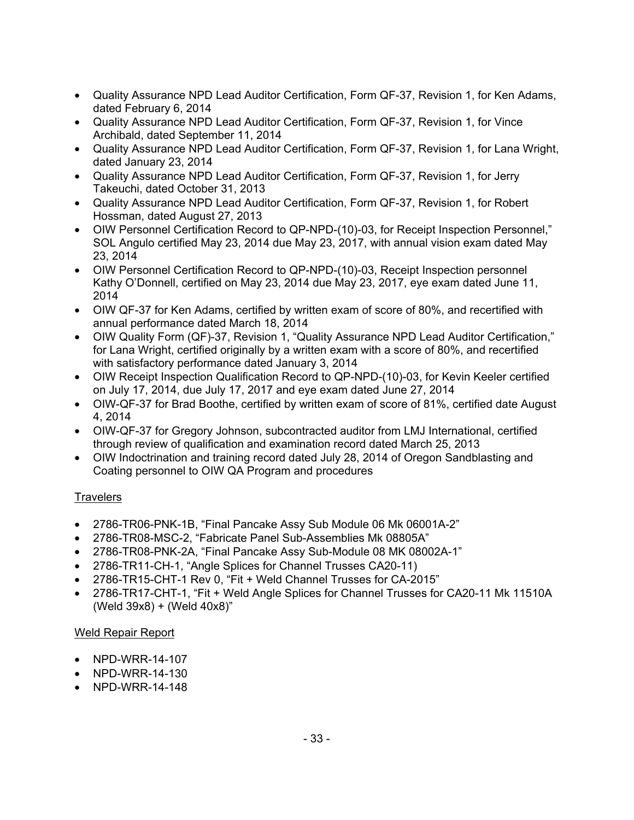- Quality Assurance NPD Lead Auditor Certification, Form QF-37, Revision 1, for Ken Adams, dated February 6, 2014
- Quality Assurance NPD Lead Auditor Certification, Form QF-37, Revision 1, for Vince Archibald, dated September 11, 2014
- Quality Assurance NPD Lead Auditor Certification, Form QF-37, Revision 1, for Lana Wright, dated January 23, 2014
- Quality Assurance NPD Lead Auditor Certification, Form QF-37, Revision 1, for Jerry Takeuchi, dated October 31, 2013
- Quality Assurance NPD Lead Auditor Certification, Form QF-37, Revision 1, for Robert Hossman, dated August 27, 2013
- OIW Personnel Certification Record to QP-NPD-(10)-03, for Receipt Inspection Personnel," SOL Angulo certified May 23, 2014 due May 23, 2017, with annual vision exam dated May 23, 2014
- OIW Personnel Certification Record to QP-NPD-(10)-03, Receipt Inspection personnel Kathy O'Donnell, certified on May 23, 2014 due May 23, 2017, eye exam dated June 11, 2014
- OIW QF-37 for Ken Adams, certified by written exam of score of 80%, and recertified with annual performance dated March 18, 2014
- OIW Quality Form (QF)-37, Revision 1, "Quality Assurance NPD Lead Auditor Certification," for Lana Wright, certified originally by a written exam with a score of 80%, and recertified with satisfactory performance dated January 3, 2014
- OIW Receipt Inspection Qualification Record to QP-NPD-(10)-03, for Kevin Keeler certified on July 17, 2014, due July 17, 2017 and eye exam dated June 27, 2014
- OIW-QF-37 for Brad Boothe, certified by written exam of score of 81%, certified date August 4, 2014
- OIW-QF-37 for Gregory Johnson, subcontracted auditor from LMJ International, certified through review of qualification and examination record dated March 25, 2013
- OIW Indoctrination and training record dated July 28, 2014 of Oregon Sandblasting and Coating personnel to OIW QA Program and procedures

## **Travelers**

- 2786-TR06-PNK-1B, "Final Pancake Assy Sub Module 06 Mk 06001A-2"
- 2786-TR08-MSC-2, "Fabricate Panel Sub-Assemblies Mk 08805A"
- 2786-TR08-PNK-2A, "Final Pancake Assy Sub-Module 08 MK 08002A-1"
- 2786-TR11-CH-1, "Angle Splices for Channel Trusses CA20-11)
- 2786-TR15-CHT-1 Rev 0, "Fit + Weld Channel Trusses for CA-2015"
- 2786-TR17-CHT-1, "Fit + Weld Angle Splices for Channel Trusses for CA20-11 Mk 11510A (Weld 39x8) + (Weld 40x8)"

## Weld Repair Report

- NPD-WRR-14-107
- NPD-WRR-14-130
- NPD-WRR-14-148